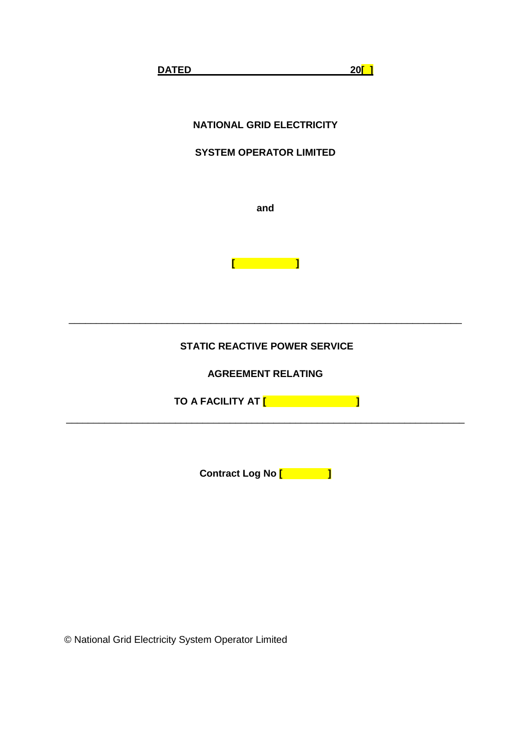

# **SYSTEM OPERATOR LIMITED**

**and**



# **STATIC REACTIVE POWER SERVICE**

\_\_\_\_\_\_\_\_\_\_\_\_\_\_\_\_\_\_\_\_\_\_\_\_\_\_\_\_\_\_\_\_\_\_\_\_\_\_\_\_\_\_\_\_\_\_\_\_\_\_\_\_\_\_\_\_\_\_\_\_\_\_\_\_\_\_\_\_\_\_\_\_

**AGREEMENT RELATING** 

**TO A FACILITY AT [ ]**

\_\_\_\_\_\_\_\_\_\_\_\_\_\_\_\_\_\_\_\_\_\_\_\_\_\_\_\_\_\_\_\_\_\_\_\_\_\_\_\_\_\_\_\_\_\_\_\_\_\_\_\_\_\_\_\_\_\_\_\_\_\_\_\_\_\_\_\_\_\_\_\_\_

**Contract Log No [ ]**

© National Grid Electricity System Operator Limited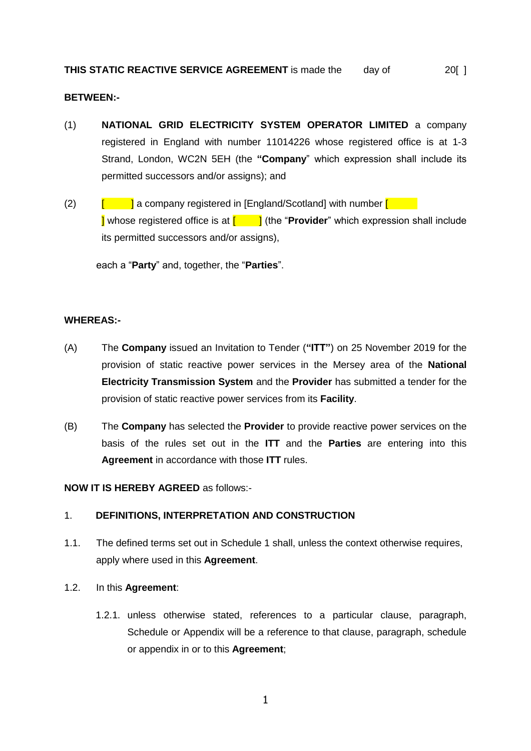#### **BETWEEN:-**

- (1) **NATIONAL GRID ELECTRICITY SYSTEM OPERATOR LIMITED** a company registered in England with number 11014226 whose registered office is at 1-3 Strand, London, WC2N 5EH (the **"Company**" which expression shall include its permitted successors and/or assigns); and
- (2)  $\left[\begin{array}{c|c} \hline \end{array}\right]$  a company registered in [England/Scotland] with number  $\left[\begin{array}{c|c} \hline \end{array}\right]$ **I** whose registered office is at  $\begin{bmatrix} 1 \\ 1 \end{bmatrix}$  (the "**Provider**" which expression shall include its permitted successors and/or assigns),

each a "**Party**" and, together, the "**Parties**".

#### **WHEREAS:-**

- (A) The **Company** issued an Invitation to Tender (**"ITT"**) on 25 November 2019 for the provision of static reactive power services in the Mersey area of the **National Electricity Transmission System** and the **Provider** has submitted a tender for the provision of static reactive power services from its **Facility**.
- (B) The **Company** has selected the **Provider** to provide reactive power services on the basis of the rules set out in the **ITT** and the **Parties** are entering into this **Agreement** in accordance with those **ITT** rules.

**NOW IT IS HEREBY AGREED** as follows:-

#### 1. **DEFINITIONS, INTERPRETATION AND CONSTRUCTION**

1.1. The defined terms set out in Schedule 1 shall, unless the context otherwise requires, apply where used in this **Agreement**.

#### 1.2. In this **Agreement**:

1.2.1. unless otherwise stated, references to a particular clause, paragraph, Schedule or Appendix will be a reference to that clause, paragraph, schedule or appendix in or to this **Agreement**;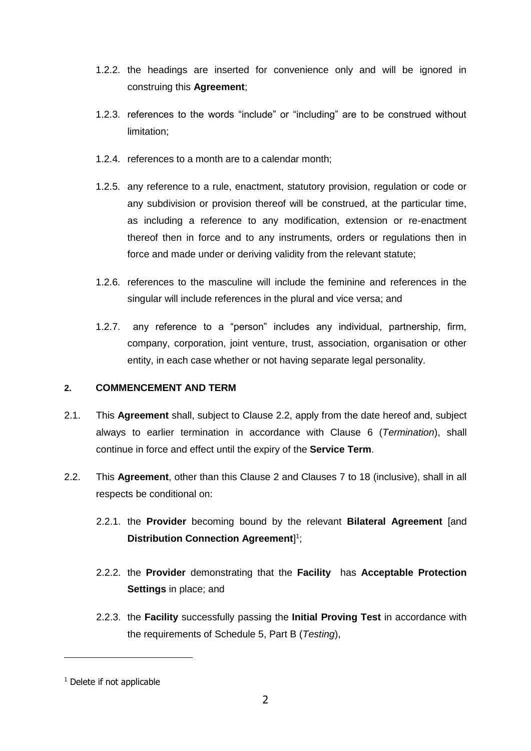- 1.2.2. the headings are inserted for convenience only and will be ignored in construing this **Agreement**;
- 1.2.3. references to the words "include" or "including" are to be construed without limitation;
- 1.2.4. references to a month are to a calendar month;
- 1.2.5. any reference to a rule, enactment, statutory provision, regulation or code or any subdivision or provision thereof will be construed, at the particular time, as including a reference to any modification, extension or re-enactment thereof then in force and to any instruments, orders or regulations then in force and made under or deriving validity from the relevant statute;
- 1.2.6. references to the masculine will include the feminine and references in the singular will include references in the plural and vice versa; and
- 1.2.7. any reference to a "person" includes any individual, partnership, firm, company, corporation, joint venture, trust, association, organisation or other entity, in each case whether or not having separate legal personality.

# **2. COMMENCEMENT AND TERM**

- 2.1. This **Agreement** shall, subject to Clause 2.2, apply from the date hereof and, subject always to earlier termination in accordance with Clause 6 (*Termination*), shall continue in force and effect until the expiry of the **Service Term**.
- <span id="page-2-0"></span>2.2. This **Agreement**, other than this Clause 2 and Clauses 7 to 18 (inclusive), shall in all respects be conditional on:
	- 2.2.1. the **Provider** becoming bound by the relevant **Bilateral Agreement** [and **Distribution Connection Agreement**] 1 ;
	- 2.2.2. the **Provider** demonstrating that the **Facility** has **Acceptable Protection Settings** in place; and
	- 2.2.3. the **Facility** successfully passing the **Initial Proving Test** in accordance with the requirements of Schedule 5, Part B (*Testing*),

<sup>&</sup>lt;sup>1</sup> Delete if not applicable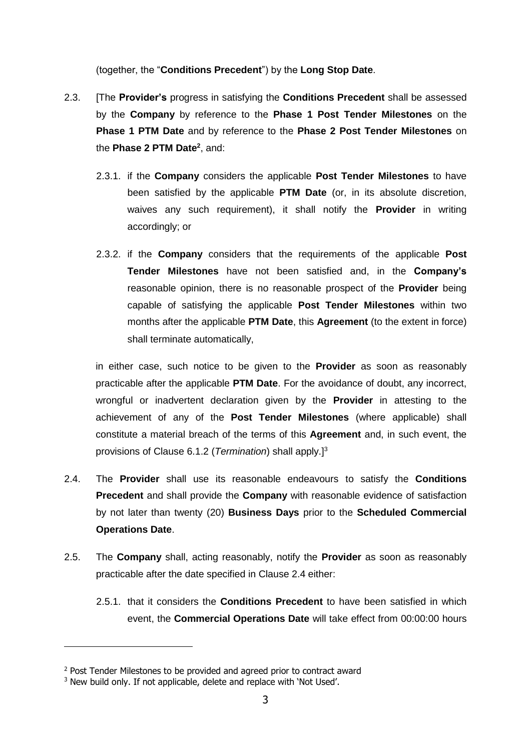(together, the "**Conditions Precedent**") by the **Long Stop Date**.

- 2.3. [The **Provider's** progress in satisfying the **Conditions Precedent** shall be assessed by the **Company** by reference to the **Phase 1 Post Tender Milestones** on the **Phase 1 PTM Date** and by reference to the **Phase 2 Post Tender Milestones** on the **Phase 2 PTM Date<sup>2</sup>** , and:
	- 2.3.1. if the **Company** considers the applicable **Post Tender Milestones** to have been satisfied by the applicable **PTM Date** (or, in its absolute discretion, waives any such requirement), it shall notify the **Provider** in writing accordingly; or
	- 2.3.2. if the **Company** considers that the requirements of the applicable **Post Tender Milestones** have not been satisfied and, in the **Company's** reasonable opinion, there is no reasonable prospect of the **Provider** being capable of satisfying the applicable **Post Tender Milestones** within two months after the applicable **PTM Date**, this **Agreement** (to the extent in force) shall terminate automatically,

in either case, such notice to be given to the **Provider** as soon as reasonably practicable after the applicable **PTM Date**. For the avoidance of doubt, any incorrect, wrongful or inadvertent declaration given by the **Provider** in attesting to the achievement of any of the **Post Tender Milestones** (where applicable) shall constitute a material breach of the terms of this **Agreement** and, in such event, the provisions of Clause [6.1.2](#page-15-0) (*Termination*) shall apply.] 3

- <span id="page-3-0"></span>2.4. The **Provider** shall use its reasonable endeavours to satisfy the **Conditions Precedent** and shall provide the **Company** with reasonable evidence of satisfaction by not later than twenty (20) **Business Days** prior to the **Scheduled Commercial Operations Date**.
- 2.5. The **Company** shall, acting reasonably, notify the **Provider** as soon as reasonably practicable after the date specified in Clause [2.4](#page-3-0) either:
	- 2.5.1. that it considers the **Conditions Precedent** to have been satisfied in which event, the **Commercial Operations Date** will take effect from 00:00:00 hours

<sup>&</sup>lt;sup>2</sup> Post Tender Milestones to be provided and agreed prior to contract award

<sup>&</sup>lt;sup>3</sup> New build only. If not applicable, delete and replace with 'Not Used'.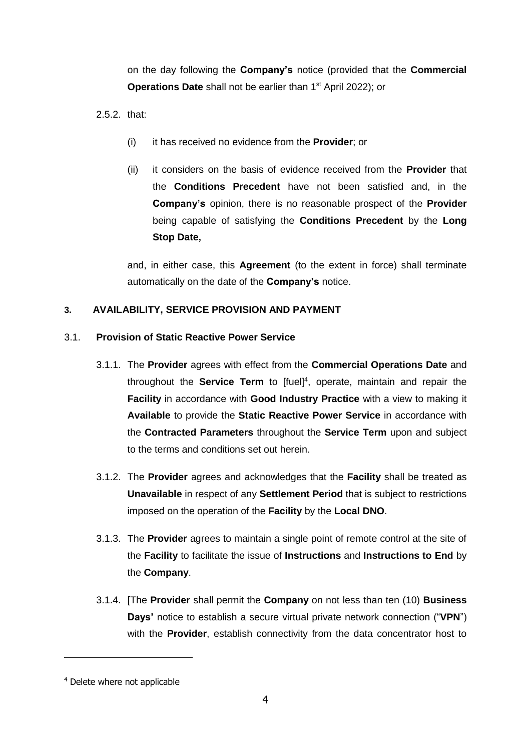on the day following the **Company's** notice (provided that the **Commercial Operations Date** shall not be earlier than 1<sup>st</sup> April 2022); or

 $2.5.2$  that:

- (i) it has received no evidence from the **Provider**; or
- (ii) it considers on the basis of evidence received from the **Provider** that the **Conditions Precedent** have not been satisfied and, in the **Company's** opinion, there is no reasonable prospect of the **Provider** being capable of satisfying the **Conditions Precedent** by the **Long Stop Date,**

and, in either case, this **Agreement** (to the extent in force) shall terminate automatically on the date of the **Company's** notice.

# <span id="page-4-0"></span>**3. AVAILABILITY, SERVICE PROVISION AND PAYMENT**

# 3.1. **Provision of Static Reactive Power Service**

- 3.1.1. The **Provider** agrees with effect from the **Commercial Operations Date** and throughout the **Service Term** to [fuel]<sup>4</sup>, operate, maintain and repair the **Facility** in accordance with **Good Industry Practice** with a view to making it **Available** to provide the **Static Reactive Power Service** in accordance with the **Contracted Parameters** throughout the **Service Term** upon and subject to the terms and conditions set out herein.
- <span id="page-4-2"></span>3.1.2. The **Provider** agrees and acknowledges that the **Facility** shall be treated as **Unavailable** in respect of any **Settlement Period** that is subject to restrictions imposed on the operation of the **Facility** by the **Local DNO**.
- 3.1.3. The **Provider** agrees to maintain a single point of remote control at the site of the **Facility** to facilitate the issue of **Instructions** and **Instructions to End** by the **Company**.
- <span id="page-4-1"></span>3.1.4. [The **Provider** shall permit the **Company** on not less than ten (10) **Business Days'** notice to establish a secure virtual private network connection ("**VPN**") with the **Provider**, establish connectivity from the data concentrator host to

<sup>4</sup> Delete where not applicable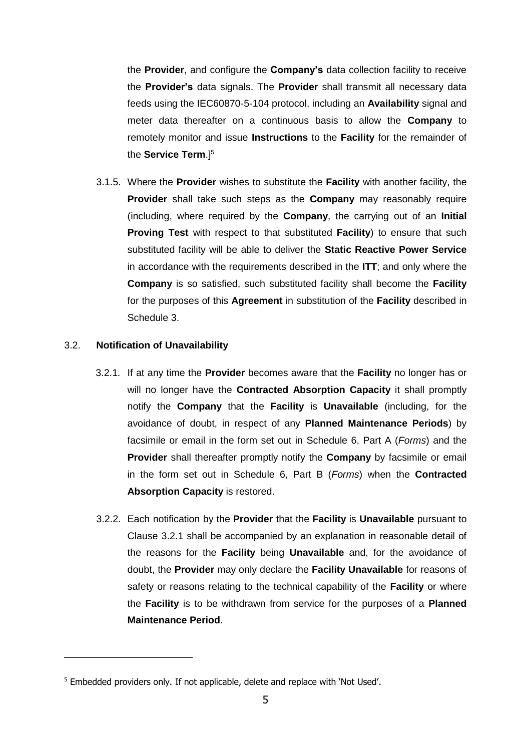the **Provider**, and configure the **Company's** data collection facility to receive the **Provider's** data signals. The **Provider** shall transmit all necessary data feeds using the IEC60870-5-104 protocol, including an **Availability** signal and meter data thereafter on a continuous basis to allow the **Company** to remotely monitor and issue **Instructions** to the **Facility** for the remainder of the **Service Term**.] 5

3.1.5. Where the **Provider** wishes to substitute the **Facility** with another facility, the **Provider** shall take such steps as the **Company** may reasonably require (including, where required by the **Company**, the carrying out of an **Initial Proving Test** with respect to that substituted **Facility**) to ensure that such substituted facility will be able to deliver the **Static Reactive Power Service**  in accordance with the requirements described in the **ITT**; and only where the **Company** is so satisfied, such substituted facility shall become the **Facility** for the purposes of this **Agreement** in substitution of the **Facility** described in Schedule 3.

#### <span id="page-5-0"></span>3.2. **Notification of Unavailability**

- 3.2.1. If at any time the **Provider** becomes aware that the **Facility** no longer has or will no longer have the **Contracted Absorption Capacity** it shall promptly notify the **Company** that the **Facility** is **Unavailable** (including, for the avoidance of doubt, in respect of any **Planned Maintenance Periods**) by facsimile or email in the form set out in Schedule 6, Part A (*Forms*) and the **Provider** shall thereafter promptly notify the **Company** by facsimile or email in the form set out in Schedule 6, Part B (*Forms*) when the **Contracted Absorption Capacity** is restored.
- <span id="page-5-1"></span>3.2.2. Each notification by the **Provider** that the **Facility** is **Unavailable** pursuant to Clause [3.2.1](#page-5-0) shall be accompanied by an explanation in reasonable detail of the reasons for the **Facility** being **Unavailable** and, for the avoidance of doubt, the **Provider** may only declare the **Facility Unavailable** for reasons of safety or reasons relating to the technical capability of the **Facility** or where the **Facility** is to be withdrawn from service for the purposes of a **Planned Maintenance Period**.

<sup>5</sup> Embedded providers only. If not applicable, delete and replace with 'Not Used'.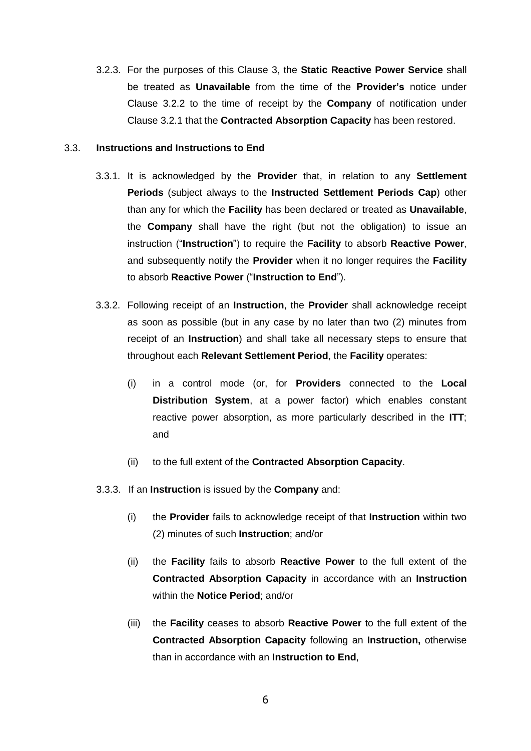<span id="page-6-3"></span>3.2.3. For the purposes of this Clause [3,](#page-4-0) the **Static Reactive Power Service** shall be treated as **Unavailable** from the time of the **Provider's** notice under Clause [3.2.2](#page-5-1) to the time of receipt by the **Company** of notification under Clause [3.2.1](#page-5-0) that the **Contracted Absorption Capacity** has been restored.

#### <span id="page-6-4"></span><span id="page-6-1"></span>3.3. **Instructions and Instructions to End**

- 3.3.1. It is acknowledged by the **Provider** that, in relation to any **Settlement Periods** (subject always to the **Instructed Settlement Periods Cap**) other than any for which the **Facility** has been declared or treated as **Unavailable**, the **Company** shall have the right (but not the obligation) to issue an instruction ("**Instruction**") to require the **Facility** to absorb **Reactive Power**, and subsequently notify the **Provider** when it no longer requires the **Facility**  to absorb **Reactive Power** ("**Instruction to End**").
- <span id="page-6-2"></span>3.3.2. Following receipt of an **Instruction**, the **Provider** shall acknowledge receipt as soon as possible (but in any case by no later than two (2) minutes from receipt of an **Instruction**) and shall take all necessary steps to ensure that throughout each **Relevant Settlement Period**, the **Facility** operates:
	- (i) in a control mode (or, for **Providers** connected to the **Local Distribution System**, at a power factor) which enables constant reactive power absorption, as more particularly described in the **ITT**; and
	- (ii) to the full extent of the **Contracted Absorption Capacity**.
- <span id="page-6-0"></span>3.3.3. If an **Instruction** is issued by the **Company** and:
	- (i) the **Provider** fails to acknowledge receipt of that **Instruction** within two (2) minutes of such **Instruction**; and/or
	- (ii) the **Facility** fails to absorb **Reactive Power** to the full extent of the **Contracted Absorption Capacity** in accordance with an **Instruction**  within the **Notice Period**; and/or
	- (iii) the **Facility** ceases to absorb **Reactive Power** to the full extent of the **Contracted Absorption Capacity** following an **Instruction,** otherwise than in accordance with an **Instruction to End**,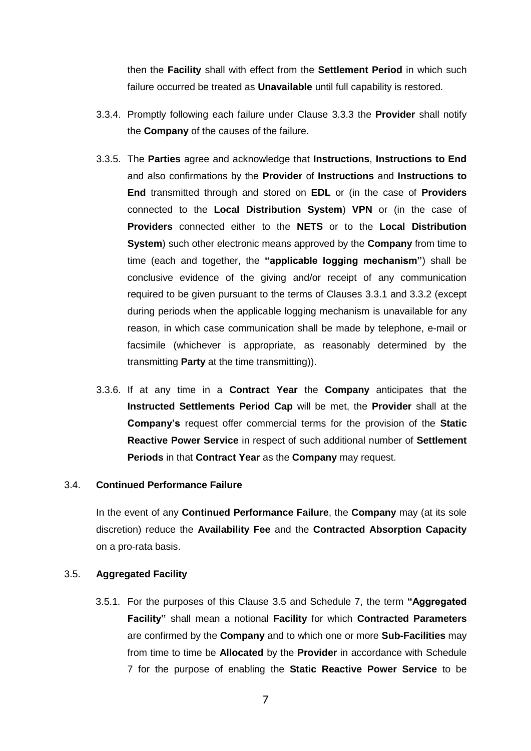then the **Facility** shall with effect from the **Settlement Period** in which such failure occurred be treated as **Unavailable** until full capability is restored.

- 3.3.4. Promptly following each failure under Clause [3.3.3](#page-6-0) the **Provider** shall notify the **Company** of the causes of the failure.
- 3.3.5. The **Parties** agree and acknowledge that **Instructions**, **Instructions to End** and also confirmations by the **Provider** of **Instructions** and **Instructions to End** transmitted through and stored on **EDL** or (in the case of **Providers** connected to the **Local Distribution System**) **VPN** or (in the case of **Providers** connected either to the **NETS** or to the **Local Distribution System**) such other electronic means approved by the **Company** from time to time (each and together, the **"applicable logging mechanism"**) shall be conclusive evidence of the giving and/or receipt of any communication required to be given pursuant to the terms of Clauses [3.3.1](#page-6-1) and [3.3.2](#page-6-2) (except during periods when the applicable logging mechanism is unavailable for any reason, in which case communication shall be made by telephone, e-mail or facsimile (whichever is appropriate, as reasonably determined by the transmitting **Party** at the time transmitting)).
- <span id="page-7-1"></span>3.3.6. If at any time in a **Contract Year** the **Company** anticipates that the **Instructed Settlements Period Cap** will be met, the **Provider** shall at the **Company's** request offer commercial terms for the provision of the **Static Reactive Power Service** in respect of such additional number of **Settlement Periods** in that **Contract Year** as the **Company** may request.

#### 3.4. **Continued Performance Failure**

In the event of any **Continued Performance Failure**, the **Company** may (at its sole discretion) reduce the **Availability Fee** and the **Contracted Absorption Capacity**  on a pro-rata basis.

#### <span id="page-7-0"></span>3.5. **Aggregated Facility**

3.5.1. For the purposes of this Clause [3.5](#page-7-0) and Schedule 7, the term **"Aggregated Facility"** shall mean a notional **Facility** for which **Contracted Parameters**  are confirmed by the **Company** and to which one or more **Sub-Facilities** may from time to time be **Allocated** by the **Provider** in accordance with Schedule 7 for the purpose of enabling the **Static Reactive Power Service** to be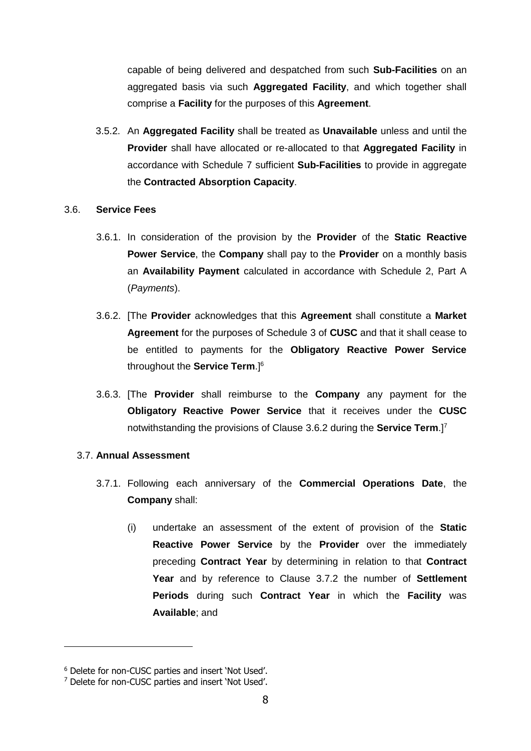capable of being delivered and despatched from such **Sub-Facilities** on an aggregated basis via such **Aggregated Facility**, and which together shall comprise a **Facility** for the purposes of this **Agreement**.

<span id="page-8-2"></span>3.5.2. An **Aggregated Facility** shall be treated as **Unavailable** unless and until the **Provider** shall have allocated or re-allocated to that **Aggregated Facility** in accordance with Schedule 7 sufficient **Sub-Facilities** to provide in aggregate the **Contracted Absorption Capacity**.

#### 3.6. **Service Fees**

- 3.6.1. In consideration of the provision by the **Provider** of the **Static Reactive Power Service**, the **Company** shall pay to the **Provider** on a monthly basis an **Availability Payment** calculated in accordance with Schedule 2, Part A (*Payments*).
- <span id="page-8-0"></span>3.6.2. [The **Provider** acknowledges that this **Agreement** shall constitute a **Market Agreement** for the purposes of Schedule 3 of **CUSC** and that it shall cease to be entitled to payments for the **Obligatory Reactive Power Service** throughout the **Service Term**.] 6
- <span id="page-8-1"></span>3.6.3. [The **Provider** shall reimburse to the **Company** any payment for the **Obligatory Reactive Power Service** that it receives under the **CUSC** notwithstanding the provisions of Clause [3.6.2](#page-8-0) during the **Service Term**.] 7

#### 3.7. **Annual Assessment**

- 3.7.1. Following each anniversary of the **Commercial Operations Date**, the **Company** shall:
	- (i) undertake an assessment of the extent of provision of the **Static Reactive Power Service** by the **Provider** over the immediately preceding **Contract Year** by determining in relation to that **Contract Year** and by reference to Clause [3.7.2](#page-9-0) the number of **Settlement Periods** during such **Contract Year** in which the **Facility** was **Available**; and

<sup>6</sup> Delete for non-CUSC parties and insert 'Not Used'.

<sup>7</sup> Delete for non-CUSC parties and insert 'Not Used'.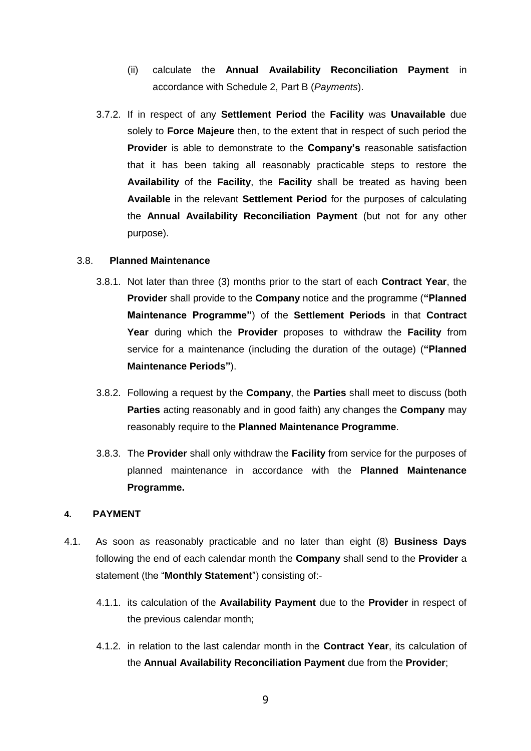- (ii) calculate the **Annual Availability Reconciliation Payment** in accordance with Schedule 2, Part B (*Payments*).
- <span id="page-9-2"></span><span id="page-9-0"></span>3.7.2. If in respect of any **Settlement Period** the **Facility** was **Unavailable** due solely to **Force Majeure** then, to the extent that in respect of such period the **Provider** is able to demonstrate to the **Company's** reasonable satisfaction that it has been taking all reasonably practicable steps to restore the **Availability** of the **Facility**, the **Facility** shall be treated as having been **Available** in the relevant **Settlement Period** for the purposes of calculating the **Annual Availability Reconciliation Payment** (but not for any other purpose).

#### <span id="page-9-4"></span>3.8. **Planned Maintenance**

- 3.8.1. Not later than three (3) months prior to the start of each **Contract Year**, the **Provider** shall provide to the **Company** notice and the programme (**"Planned Maintenance Programme"**) of the **Settlement Periods** in that **Contract Year** during which the **Provider** proposes to withdraw the **Facility** from service for a maintenance (including the duration of the outage) (**"Planned Maintenance Periods"**).
- 3.8.2. Following a request by the **Company**, the **Parties** shall meet to discuss (both **Parties** acting reasonably and in good faith) any changes the **Company** may reasonably require to the **Planned Maintenance Programme**.
- 3.8.3. The **Provider** shall only withdraw the **Facility** from service for the purposes of planned maintenance in accordance with the **Planned Maintenance Programme.**

#### <span id="page-9-1"></span>**4. PAYMENT**

- <span id="page-9-3"></span>4.1. As soon as reasonably practicable and no later than eight (8) **Business Days** following the end of each calendar month the **Company** shall send to the **Provider** a statement (the "**Monthly Statement**") consisting of:-
	- 4.1.1. its calculation of the **Availability Payment** due to the **Provider** in respect of the previous calendar month;
	- 4.1.2. in relation to the last calendar month in the **Contract Year**, its calculation of the **Annual Availability Reconciliation Payment** due from the **Provider**;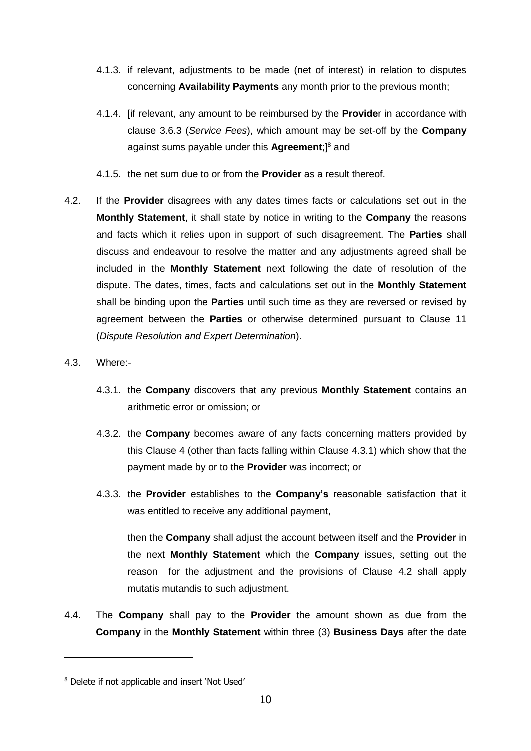- 4.1.3. if relevant, adjustments to be made (net of interest) in relation to disputes concerning **Availability Payments** any month prior to the previous month;
- 4.1.4. [if relevant, any amount to be reimbursed by the **Provide**r in accordance with clause [3.6.3](#page-8-1) (*Service Fees*), which amount may be set-off by the **Company** against sums payable under this **Agreement**;<sup>[8</sup> and
- 4.1.5. the net sum due to or from the **Provider** as a result thereof.
- <span id="page-10-1"></span>4.2. If the **Provider** disagrees with any dates times facts or calculations set out in the **Monthly Statement**, it shall state by notice in writing to the **Company** the reasons and facts which it relies upon in support of such disagreement. The **Parties** shall discuss and endeavour to resolve the matter and any adjustments agreed shall be included in the **Monthly Statement** next following the date of resolution of the dispute. The dates, times, facts and calculations set out in the **Monthly Statement** shall be binding upon the **Parties** until such time as they are reversed or revised by agreement between the **Parties** or otherwise determined pursuant to Clause [11](#page-25-0) (*Dispute Resolution and Expert Determination*).
- <span id="page-10-0"></span>4.3. Where:-

-

- 4.3.1. the **Company** discovers that any previous **Monthly Statement** contains an arithmetic error or omission; or
- 4.3.2. the **Company** becomes aware of any facts concerning matters provided by this Clause 4 (other than facts falling within Clause [4.3.1\)](#page-10-0) which show that the payment made by or to the **Provider** was incorrect; or
- 4.3.3. the **Provider** establishes to the **Company's** reasonable satisfaction that it was entitled to receive any additional payment,

then the **Company** shall adjust the account between itself and the **Provider** in the next **Monthly Statement** which the **Company** issues, setting out the reason for the adjustment and the provisions of Clause [4.2](#page-10-1) shall apply mutatis mutandis to such adjustment.

4.4. The **Company** shall pay to the **Provider** the amount shown as due from the **Company** in the **Monthly Statement** within three (3) **Business Days** after the date

<sup>8</sup> Delete if not applicable and insert 'Not Used'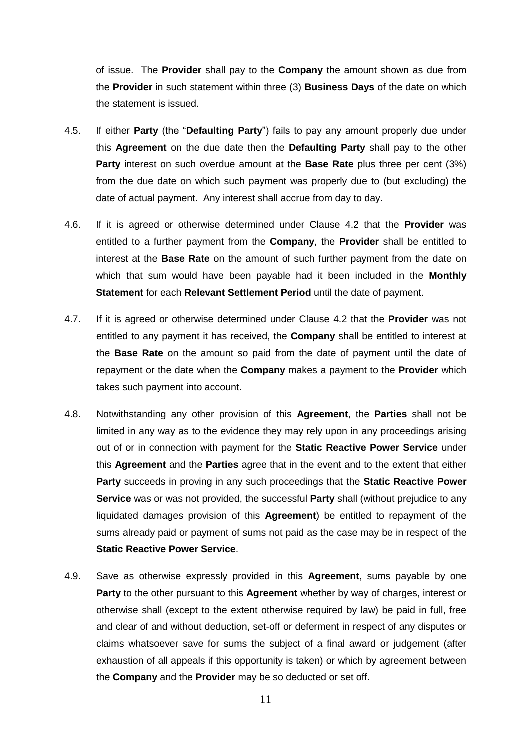of issue. The **Provider** shall pay to the **Company** the amount shown as due from the **Provider** in such statement within three (3) **Business Days** of the date on which the statement is issued.

- 4.5. If either **Party** (the "**Defaulting Party**") fails to pay any amount properly due under this **Agreement** on the due date then the **Defaulting Party** shall pay to the other **Party** interest on such overdue amount at the **Base Rate** plus three per cent (3%) from the due date on which such payment was properly due to (but excluding) the date of actual payment. Any interest shall accrue from day to day.
- 4.6. If it is agreed or otherwise determined under Clause [4.2](#page-10-1) that the **Provider** was entitled to a further payment from the **Company**, the **Provider** shall be entitled to interest at the **Base Rate** on the amount of such further payment from the date on which that sum would have been payable had it been included in the **Monthly Statement** for each **Relevant Settlement Period** until the date of payment.
- 4.7. If it is agreed or otherwise determined under Clause [4.2](#page-10-1) that the **Provider** was not entitled to any payment it has received, the **Company** shall be entitled to interest at the **Base Rate** on the amount so paid from the date of payment until the date of repayment or the date when the **Company** makes a payment to the **Provider** which takes such payment into account.
- 4.8. Notwithstanding any other provision of this **Agreement**, the **Parties** shall not be limited in any way as to the evidence they may rely upon in any proceedings arising out of or in connection with payment for the **Static Reactive Power Service** under this **Agreement** and the **Parties** agree that in the event and to the extent that either **Party** succeeds in proving in any such proceedings that the **Static Reactive Power Service** was or was not provided, the successful **Party** shall (without prejudice to any liquidated damages provision of this **Agreement**) be entitled to repayment of the sums already paid or payment of sums not paid as the case may be in respect of the **Static Reactive Power Service**.
- 4.9. Save as otherwise expressly provided in this **Agreement**, sums payable by one **Party** to the other pursuant to this **Agreement** whether by way of charges, interest or otherwise shall (except to the extent otherwise required by law) be paid in full, free and clear of and without deduction, set-off or deferment in respect of any disputes or claims whatsoever save for sums the subject of a final award or judgement (after exhaustion of all appeals if this opportunity is taken) or which by agreement between the **Company** and the **Provider** may be so deducted or set off.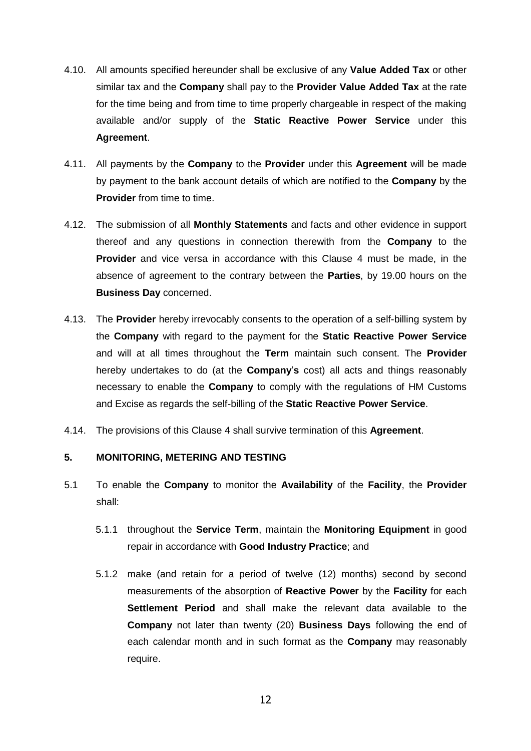- 4.10. All amounts specified hereunder shall be exclusive of any **Value Added Tax** or other similar tax and the **Company** shall pay to the **Provider Value Added Tax** at the rate for the time being and from time to time properly chargeable in respect of the making available and/or supply of the **Static Reactive Power Service** under this **Agreement**.
- 4.11. All payments by the **Company** to the **Provider** under this **Agreement** will be made by payment to the bank account details of which are notified to the **Company** by the **Provider** from time to time.
- 4.12. The submission of all **Monthly Statements** and facts and other evidence in support thereof and any questions in connection therewith from the **Company** to the **Provider** and vice versa in accordance with this Clause [4](#page-9-1) must be made, in the absence of agreement to the contrary between the **Parties**, by 19.00 hours on the **Business Day** concerned.
- 4.13. The **Provider** hereby irrevocably consents to the operation of a self-billing system by the **Company** with regard to the payment for the **Static Reactive Power Service** and will at all times throughout the **Term** maintain such consent. The **Provider** hereby undertakes to do (at the **Company**'**s** cost) all acts and things reasonably necessary to enable the **Company** to comply with the regulations of HM Customs and Excise as regards the self-billing of the **Static Reactive Power Service**.
- 4.14. The provisions of this Clause 4 shall survive termination of this **Agreement**.

#### **5. MONITORING, METERING AND TESTING**

- <span id="page-12-0"></span>5.1 To enable the **Company** to monitor the **Availability** of the **Facility**, the **Provider** shall:
	- 5.1.1 throughout the **Service Term**, maintain the **Monitoring Equipment** in good repair in accordance with **Good Industry Practice**; and
	- 5.1.2 make (and retain for a period of twelve (12) months) second by second measurements of the absorption of **Reactive Power** by the **Facility** for each **Settlement Period** and shall make the relevant data available to the **Company** not later than twenty (20) **Business Days** following the end of each calendar month and in such format as the **Company** may reasonably require.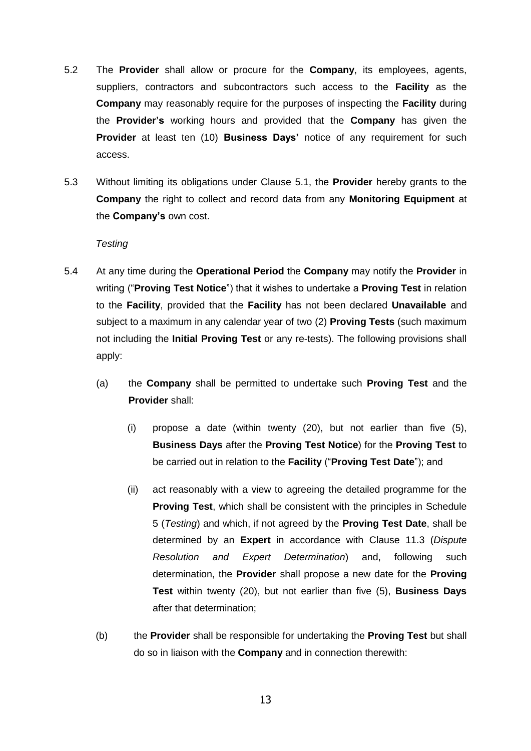- 5.2 The **Provider** shall allow or procure for the **Company**, its employees, agents, suppliers, contractors and subcontractors such access to the **Facility** as the **Company** may reasonably require for the purposes of inspecting the **Facility** during the **Provider's** working hours and provided that the **Company** has given the **Provider** at least ten (10) **Business Days'** notice of any requirement for such access.
- 5.3 Without limiting its obligations under Clause [5.1,](#page-12-0) the **Provider** hereby grants to the **Company** the right to collect and record data from any **Monitoring Equipment** at the **Company's** own cost.

#### *Testing*

- <span id="page-13-0"></span>5.4 At any time during the **Operational Period** the **Company** may notify the **Provider** in writing ("**Proving Test Notice**") that it wishes to undertake a **Proving Test** in relation to the **Facility**, provided that the **Facility** has not been declared **Unavailable** and subject to a maximum in any calendar year of two (2) **Proving Tests** (such maximum not including the **Initial Proving Test** or any re-tests). The following provisions shall apply:
	- (a) the **Company** shall be permitted to undertake such **Proving Test** and the **Provider** shall:
		- (i) propose a date (within twenty (20), but not earlier than five (5), **Business Days** after the **Proving Test Notice**) for the **Proving Test** to be carried out in relation to the **Facility** ("**Proving Test Date**"); and
		- (ii) act reasonably with a view to agreeing the detailed programme for the **Proving Test**, which shall be consistent with the principles in Schedule 5 (*Testing*) and which, if not agreed by the **Proving Test Date**, shall be determined by an **Expert** in accordance with Clause [11.3](#page-25-1) (*Dispute Resolution and Expert Determination*) and, following such determination, the **Provider** shall propose a new date for the **Proving Test** within twenty (20), but not earlier than five (5), **Business Days** after that determination;
	- (b) the **Provider** shall be responsible for undertaking the **Proving Test** but shall do so in liaison with the **Company** and in connection therewith: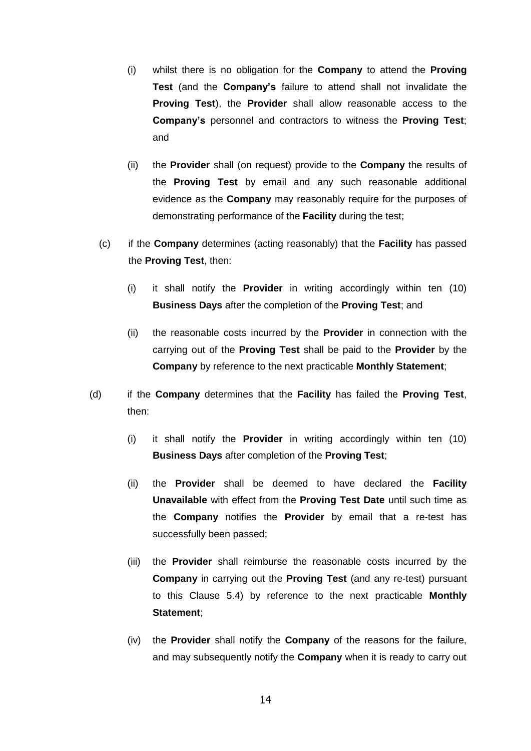- (i) whilst there is no obligation for the **Company** to attend the **Proving Test** (and the **Company's** failure to attend shall not invalidate the **Proving Test**), the **Provider** shall allow reasonable access to the **Company's** personnel and contractors to witness the **Proving Test**; and
- (ii) the **Provider** shall (on request) provide to the **Company** the results of the **Proving Test** by email and any such reasonable additional evidence as the **Company** may reasonably require for the purposes of demonstrating performance of the **Facility** during the test;
- (c) if the **Company** determines (acting reasonably) that the **Facility** has passed the **Proving Test**, then:
	- (i) it shall notify the **Provider** in writing accordingly within ten (10) **Business Days** after the completion of the **Proving Test**; and
	- (ii) the reasonable costs incurred by the **Provider** in connection with the carrying out of the **Proving Test** shall be paid to the **Provider** by the **Company** by reference to the next practicable **Monthly Statement**;
- (d) if the **Company** determines that the **Facility** has failed the **Proving Test**, then:
	- (i) it shall notify the **Provider** in writing accordingly within ten (10) **Business Days** after completion of the **Proving Test**;
	- (ii) the **Provider** shall be deemed to have declared the **Facility Unavailable** with effect from the **Proving Test Date** until such time as the **Company** notifies the **Provider** by email that a re-test has successfully been passed;
	- (iii) the **Provider** shall reimburse the reasonable costs incurred by the **Company** in carrying out the **Proving Test** (and any re-test) pursuant to this Clause [5.4\)](#page-13-0) by reference to the next practicable **Monthly Statement**;
	- (iv) the **Provider** shall notify the **Company** of the reasons for the failure, and may subsequently notify the **Company** when it is ready to carry out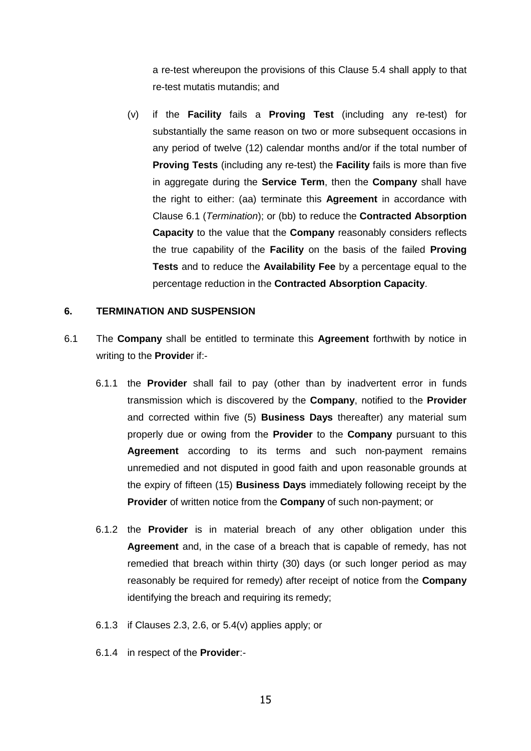a re-test whereupon the provisions of this Clause [5.4](#page-13-0) shall apply to that re-test mutatis mutandis; and

(v) if the **Facility** fails a **Proving Test** (including any re-test) for substantially the same reason on two or more subsequent occasions in any period of twelve (12) calendar months and/or if the total number of **Proving Tests** (including any re-test) the **Facility** fails is more than five in aggregate during the **Service Term**, then the **Company** shall have the right to either: (aa) terminate this **Agreement** in accordance with Clause [6.1](#page-15-1) (*Termination*); or (bb) to reduce the **Contracted Absorption Capacity** to the value that the **Company** reasonably considers reflects the true capability of the **Facility** on the basis of the failed **Proving Tests** and to reduce the **Availability Fee** by a percentage equal to the percentage reduction in the **Contracted Absorption Capacity**.

#### **6. TERMINATION AND SUSPENSION**

- <span id="page-15-1"></span><span id="page-15-0"></span>6.1 The **Company** shall be entitled to terminate this **Agreement** forthwith by notice in writing to the **Provide**r if:-
	- 6.1.1 the **Provider** shall fail to pay (other than by inadvertent error in funds transmission which is discovered by the **Company**, notified to the **Provider**  and corrected within five (5) **Business Days** thereafter) any material sum properly due or owing from the **Provider** to the **Company** pursuant to this **Agreement** according to its terms and such non-payment remains unremedied and not disputed in good faith and upon reasonable grounds at the expiry of fifteen (15) **Business Days** immediately following receipt by the **Provider** of written notice from the **Company** of such non-payment; or
	- 6.1.2 the **Provider** is in material breach of any other obligation under this **Agreement** and, in the case of a breach that is capable of remedy, has not remedied that breach within thirty (30) days (or such longer period as may reasonably be required for remedy) after receipt of notice from the **Company** identifying the breach and requiring its remedy;
	- 6.1.3 if Clauses 2.3, 2.6, or 5.4(v) applies apply; or
	- 6.1.4 in respect of the **Provider**:-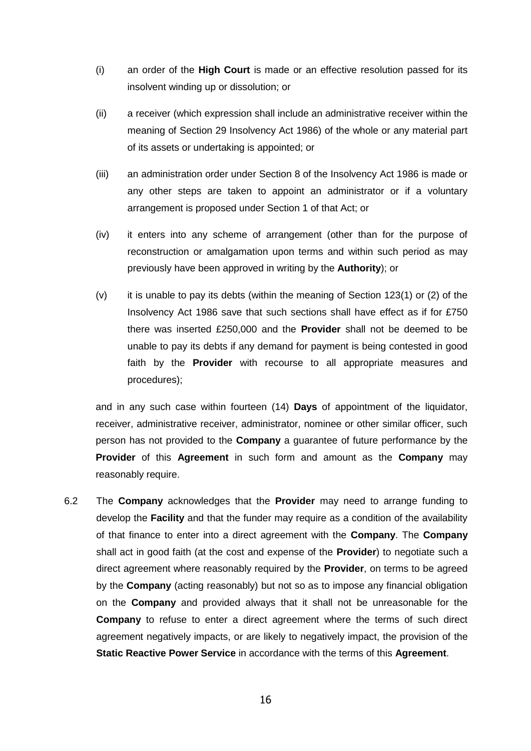- (i) an order of the **High Court** is made or an effective resolution passed for its insolvent winding up or dissolution; or
- (ii) a receiver (which expression shall include an administrative receiver within the meaning of Section 29 Insolvency Act 1986) of the whole or any material part of its assets or undertaking is appointed; or
- (iii) an administration order under Section 8 of the Insolvency Act 1986 is made or any other steps are taken to appoint an administrator or if a voluntary arrangement is proposed under Section 1 of that Act; or
- (iv) it enters into any scheme of arrangement (other than for the purpose of reconstruction or amalgamation upon terms and within such period as may previously have been approved in writing by the **Authority**); or
- (v) it is unable to pay its debts (within the meaning of Section 123(1) or (2) of the Insolvency Act 1986 save that such sections shall have effect as if for £750 there was inserted £250,000 and the **Provider** shall not be deemed to be unable to pay its debts if any demand for payment is being contested in good faith by the **Provider** with recourse to all appropriate measures and procedures);

and in any such case within fourteen (14) **Days** of appointment of the liquidator, receiver, administrative receiver, administrator, nominee or other similar officer, such person has not provided to the **Company** a guarantee of future performance by the **Provider** of this **Agreement** in such form and amount as the **Company** may reasonably require.

6.2 The **Company** acknowledges that the **Provider** may need to arrange funding to develop the **Facility** and that the funder may require as a condition of the availability of that finance to enter into a direct agreement with the **Company**. The **Company**  shall act in good faith (at the cost and expense of the **Provider**) to negotiate such a direct agreement where reasonably required by the **Provider**, on terms to be agreed by the **Company** (acting reasonably) but not so as to impose any financial obligation on the **Company** and provided always that it shall not be unreasonable for the **Company** to refuse to enter a direct agreement where the terms of such direct agreement negatively impacts, or are likely to negatively impact, the provision of the **Static Reactive Power Service** in accordance with the terms of this **Agreement**.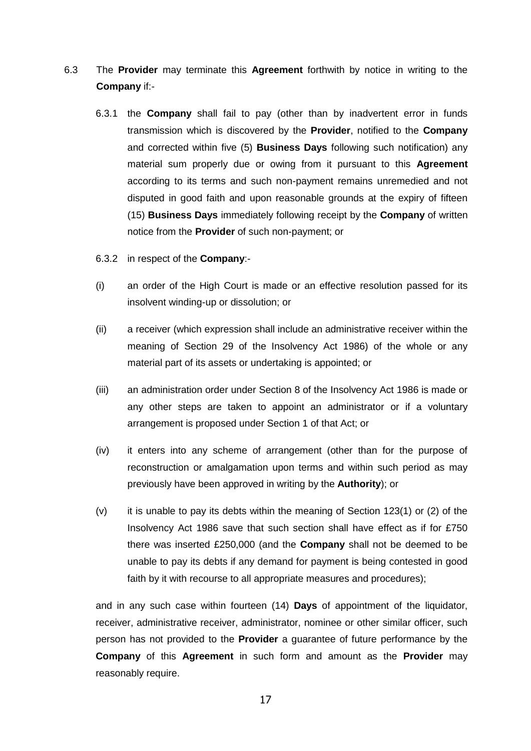- 6.3 The **Provider** may terminate this **Agreement** forthwith by notice in writing to the **Company** if:-
	- 6.3.1 the **Company** shall fail to pay (other than by inadvertent error in funds transmission which is discovered by the **Provider**, notified to the **Company** and corrected within five (5) **Business Days** following such notification) any material sum properly due or owing from it pursuant to this **Agreement** according to its terms and such non-payment remains unremedied and not disputed in good faith and upon reasonable grounds at the expiry of fifteen (15) **Business Days** immediately following receipt by the **Company** of written notice from the **Provider** of such non-payment; or
	- 6.3.2 in respect of the **Company**:-
	- (i) an order of the High Court is made or an effective resolution passed for its insolvent winding-up or dissolution; or
	- (ii) a receiver (which expression shall include an administrative receiver within the meaning of Section 29 of the Insolvency Act 1986) of the whole or any material part of its assets or undertaking is appointed; or
	- (iii) an administration order under Section 8 of the Insolvency Act 1986 is made or any other steps are taken to appoint an administrator or if a voluntary arrangement is proposed under Section 1 of that Act; or
	- (iv) it enters into any scheme of arrangement (other than for the purpose of reconstruction or amalgamation upon terms and within such period as may previously have been approved in writing by the **Authority**); or
	- $(v)$  it is unable to pay its debts within the meaning of Section 123(1) or (2) of the Insolvency Act 1986 save that such section shall have effect as if for £750 there was inserted £250,000 (and the **Company** shall not be deemed to be unable to pay its debts if any demand for payment is being contested in good faith by it with recourse to all appropriate measures and procedures);

and in any such case within fourteen (14) **Days** of appointment of the liquidator, receiver, administrative receiver, administrator, nominee or other similar officer, such person has not provided to the **Provider** a guarantee of future performance by the **Company** of this **Agreement** in such form and amount as the **Provider** may reasonably require.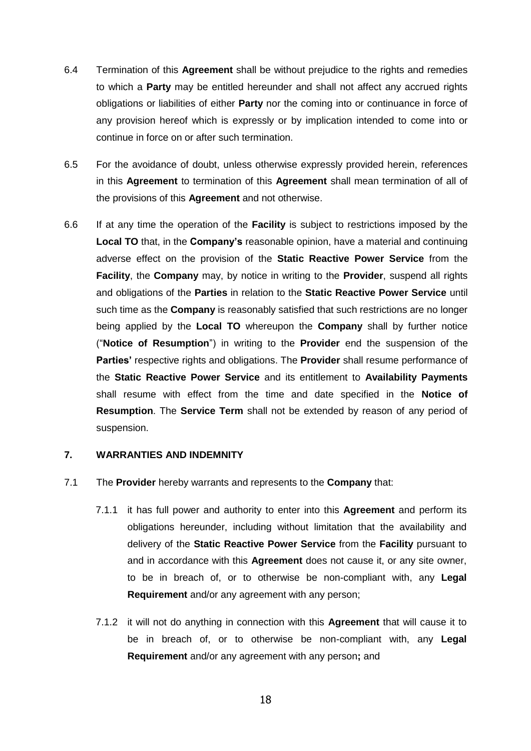- 6.4 Termination of this **Agreement** shall be without prejudice to the rights and remedies to which a **Party** may be entitled hereunder and shall not affect any accrued rights obligations or liabilities of either **Party** nor the coming into or continuance in force of any provision hereof which is expressly or by implication intended to come into or continue in force on or after such termination.
- 6.5 For the avoidance of doubt, unless otherwise expressly provided herein, references in this **Agreement** to termination of this **Agreement** shall mean termination of all of the provisions of this **Agreement** and not otherwise.
- 6.6 If at any time the operation of the **Facility** is subject to restrictions imposed by the **Local TO** that, in the **Company's** reasonable opinion, have a material and continuing adverse effect on the provision of the **Static Reactive Power Service** from the **Facility**, the **Company** may, by notice in writing to the **Provider**, suspend all rights and obligations of the **Parties** in relation to the **Static Reactive Power Service** until such time as the **Company** is reasonably satisfied that such restrictions are no longer being applied by the **Local TO** whereupon the **Company** shall by further notice ("**Notice of Resumption**") in writing to the **Provider** end the suspension of the **Parties'** respective rights and obligations. The **Provider** shall resume performance of the **Static Reactive Power Service** and its entitlement to **Availability Payments**  shall resume with effect from the time and date specified in the **Notice of Resumption**. The **Service Term** shall not be extended by reason of any period of suspension.

#### **7. WARRANTIES AND INDEMNITY**

- <span id="page-18-0"></span>7.1 The **Provider** hereby warrants and represents to the **Company** that:
	- 7.1.1 it has full power and authority to enter into this **Agreement** and perform its obligations hereunder, including without limitation that the availability and delivery of the **Static Reactive Power Service** from the **Facility** pursuant to and in accordance with this **Agreement** does not cause it, or any site owner, to be in breach of, or to otherwise be non-compliant with, any **Legal Requirement** and/or any agreement with any person;
	- 7.1.2 it will not do anything in connection with this **Agreement** that will cause it to be in breach of, or to otherwise be non-compliant with, any **Legal Requirement** and/or any agreement with any person**;** and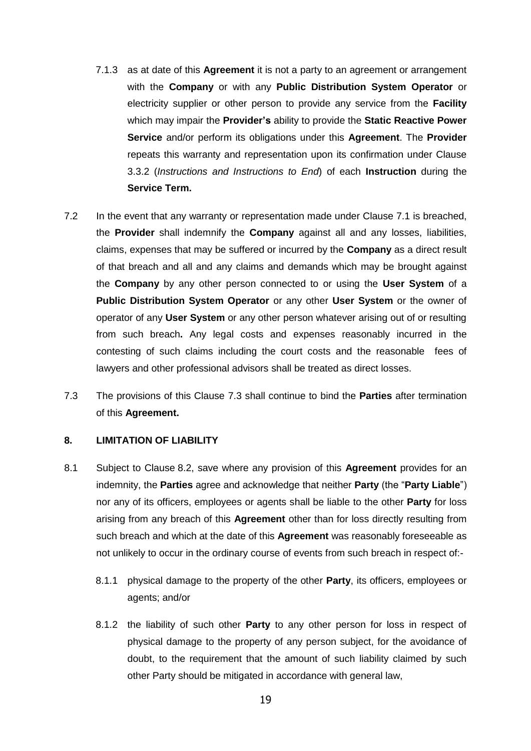- 7.1.3 as at date of this **Agreement** it is not a party to an agreement or arrangement with the **Company** or with any **Public Distribution System Operator** or electricity supplier or other person to provide any service from the **Facility** which may impair the **Provider's** ability to provide the **Static Reactive Power Service** and/or perform its obligations under this **Agreement**. The **Provider** repeats this warranty and representation upon its confirmation under Clause [3.3.2](#page-6-2) (*Instructions and Instructions to End*) of each **Instruction** during the **Service Term.**
- 7.2 In the event that any warranty or representation made under Clause [7.1](#page-18-0) is breached, the **Provider** shall indemnify the **Company** against all and any losses, liabilities, claims, expenses that may be suffered or incurred by the **Company** as a direct result of that breach and all and any claims and demands which may be brought against the **Company** by any other person connected to or using the **User System** of a **Public Distribution System Operator** or any other **User System** or the owner of operator of any **User System** or any other person whatever arising out of or resulting from such breach**.** Any legal costs and expenses reasonably incurred in the contesting of such claims including the court costs and the reasonable fees of lawyers and other professional advisors shall be treated as direct losses.
- <span id="page-19-0"></span>7.3 The provisions of this Clause [7.3](#page-19-0) shall continue to bind the **Parties** after termination of this **Agreement.**

#### <span id="page-19-3"></span>**8. LIMITATION OF LIABILITY**

- <span id="page-19-2"></span><span id="page-19-1"></span>8.1 Subject to Clause [8.2,](#page-20-0) save where any provision of this **Agreement** provides for an indemnity, the **Parties** agree and acknowledge that neither **Party** (the "**Party Liable**") nor any of its officers, employees or agents shall be liable to the other **Party** for loss arising from any breach of this **Agreement** other than for loss directly resulting from such breach and which at the date of this **Agreement** was reasonably foreseeable as not unlikely to occur in the ordinary course of events from such breach in respect of:-
	- 8.1.1 physical damage to the property of the other **Party**, its officers, employees or agents; and/or
	- 8.1.2 the liability of such other **Party** to any other person for loss in respect of physical damage to the property of any person subject, for the avoidance of doubt, to the requirement that the amount of such liability claimed by such other Party should be mitigated in accordance with general law,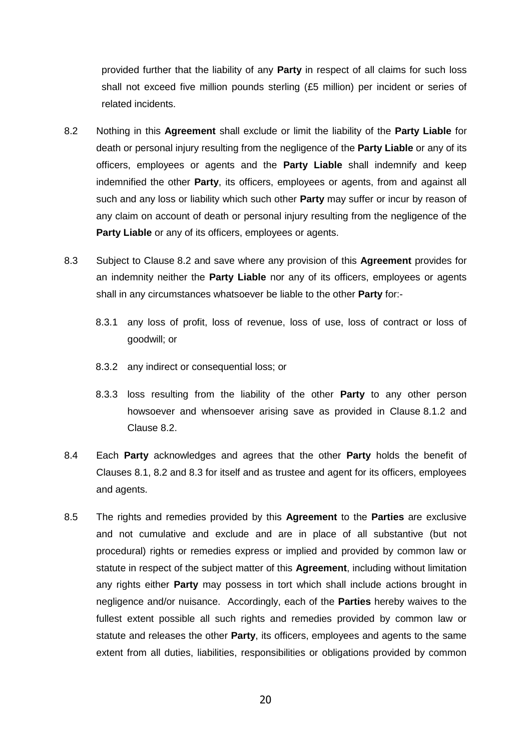provided further that the liability of any **Party** in respect of all claims for such loss shall not exceed five million pounds sterling (£5 million) per incident or series of related incidents.

- <span id="page-20-0"></span>8.2 Nothing in this **Agreement** shall exclude or limit the liability of the **Party Liable** for death or personal injury resulting from the negligence of the **Party Liable** or any of its officers, employees or agents and the **Party Liable** shall indemnify and keep indemnified the other **Party**, its officers, employees or agents, from and against all such and any loss or liability which such other **Party** may suffer or incur by reason of any claim on account of death or personal injury resulting from the negligence of the **Party Liable** or any of its officers, employees or agents.
- <span id="page-20-1"></span>8.3 Subject to Clause [8.2](#page-20-0) and save where any provision of this **Agreement** provides for an indemnity neither the **Party Liable** nor any of its officers, employees or agents shall in any circumstances whatsoever be liable to the other **Party** for:-
	- 8.3.1 any loss of profit, loss of revenue, loss of use, loss of contract or loss of goodwill; or
	- 8.3.2 any indirect or consequential loss; or
	- 8.3.3 loss resulting from the liability of the other **Party** to any other person howsoever and whensoever arising save as provided in Clause [8.1.2](#page-19-1) and Clause [8.2.](#page-20-0)
- <span id="page-20-2"></span>8.4 Each **Party** acknowledges and agrees that the other **Party** holds the benefit of Clauses [8.1,](#page-19-2) [8.2](#page-20-0) and [8.3](#page-20-1) for itself and as trustee and agent for its officers, employees and agents.
- 8.5 The rights and remedies provided by this **Agreement** to the **Parties** are exclusive and not cumulative and exclude and are in place of all substantive (but not procedural) rights or remedies express or implied and provided by common law or statute in respect of the subject matter of this **Agreement**, including without limitation any rights either **Party** may possess in tort which shall include actions brought in negligence and/or nuisance. Accordingly, each of the **Parties** hereby waives to the fullest extent possible all such rights and remedies provided by common law or statute and releases the other **Party**, its officers, employees and agents to the same extent from all duties, liabilities, responsibilities or obligations provided by common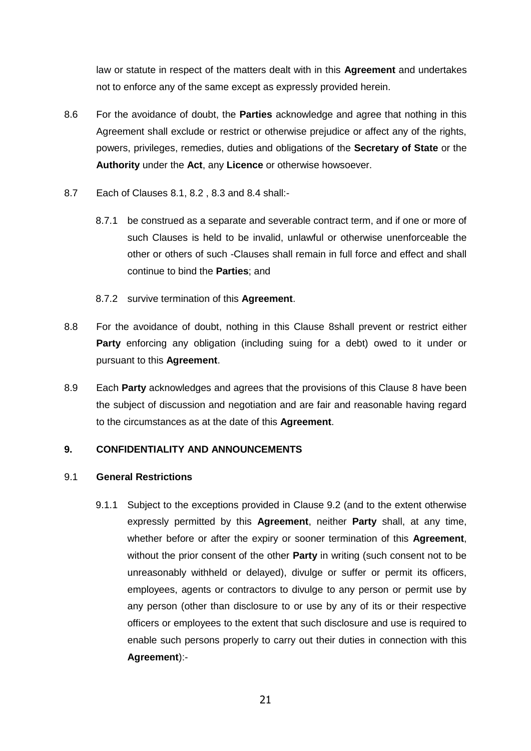law or statute in respect of the matters dealt with in this **Agreement** and undertakes not to enforce any of the same except as expressly provided herein.

- 8.6 For the avoidance of doubt, the **Parties** acknowledge and agree that nothing in this Agreement shall exclude or restrict or otherwise prejudice or affect any of the rights, powers, privileges, remedies, duties and obligations of the **Secretary of State** or the **Authority** under the **Act**, any **Licence** or otherwise howsoever.
- 8.7 Each of Clauses [8.1,](#page-19-2) [8.2](#page-20-0) , [8.3](#page-20-1) and [8.4](#page-20-2) shall:-
	- 8.7.1 be construed as a separate and severable contract term, and if one or more of such Clauses is held to be invalid, unlawful or otherwise unenforceable the other or others of such -Clauses shall remain in full force and effect and shall continue to bind the **Parties**; and
	- 8.7.2 survive termination of this **Agreement**.
- 8.8 For the avoidance of doubt, nothing in this Clause [8s](#page-19-3)hall prevent or restrict either **Party** enforcing any obligation (including suing for a debt) owed to it under or pursuant to this **Agreement**.
- 8.9 Each **Party** acknowledges and agrees that the provisions of this Clause [8](#page-19-3) have been the subject of discussion and negotiation and are fair and reasonable having regard to the circumstances as at the date of this **Agreement**.

# <span id="page-21-2"></span>**9. CONFIDENTIALITY AND ANNOUNCEMENTS**

#### <span id="page-21-1"></span><span id="page-21-0"></span>9.1 **General Restrictions**

9.1.1 Subject to the exceptions provided in Clause [9.2](#page-22-0) (and to the extent otherwise expressly permitted by this **Agreement**, neither **Party** shall, at any time, whether before or after the expiry or sooner termination of this **Agreement**, without the prior consent of the other **Party** in writing (such consent not to be unreasonably withheld or delayed), divulge or suffer or permit its officers, employees, agents or contractors to divulge to any person or permit use by any person (other than disclosure to or use by any of its or their respective officers or employees to the extent that such disclosure and use is required to enable such persons properly to carry out their duties in connection with this **Agreement**):-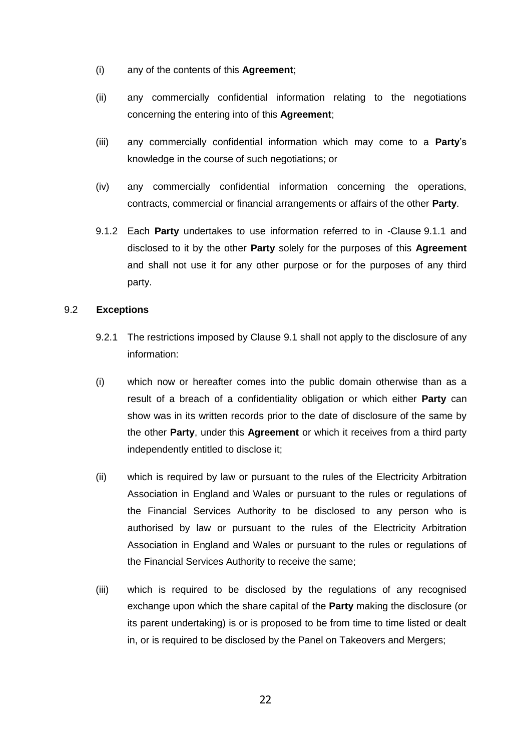- (i) any of the contents of this **Agreement**;
- (ii) any commercially confidential information relating to the negotiations concerning the entering into of this **Agreement**;
- (iii) any commercially confidential information which may come to a **Party**'s knowledge in the course of such negotiations; or
- (iv) any commercially confidential information concerning the operations, contracts, commercial or financial arrangements or affairs of the other **Party**.
- 9.1.2 Each **Party** undertakes to use information referred to in -Clause [9.1.1](#page-21-0) and disclosed to it by the other **Party** solely for the purposes of this **Agreement** and shall not use it for any other purpose or for the purposes of any third party.

#### <span id="page-22-0"></span>9.2 **Exceptions**

- 9.2.1 The restrictions imposed by Clause [9.1](#page-21-1) shall not apply to the disclosure of any information:
- (i) which now or hereafter comes into the public domain otherwise than as a result of a breach of a confidentiality obligation or which either **Party** can show was in its written records prior to the date of disclosure of the same by the other **Party**, under this **Agreement** or which it receives from a third party independently entitled to disclose it;
- (ii) which is required by law or pursuant to the rules of the Electricity Arbitration Association in England and Wales or pursuant to the rules or regulations of the Financial Services Authority to be disclosed to any person who is authorised by law or pursuant to the rules of the Electricity Arbitration Association in England and Wales or pursuant to the rules or regulations of the Financial Services Authority to receive the same;
- (iii) which is required to be disclosed by the regulations of any recognised exchange upon which the share capital of the **Party** making the disclosure (or its parent undertaking) is or is proposed to be from time to time listed or dealt in, or is required to be disclosed by the Panel on Takeovers and Mergers;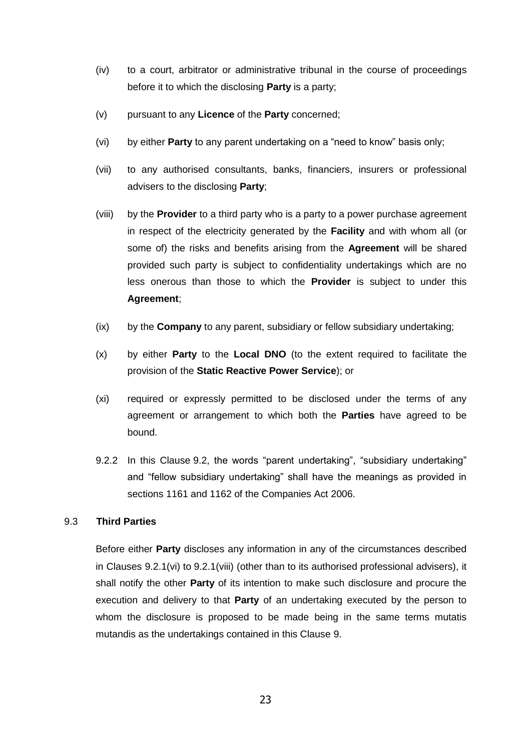- (iv) to a court, arbitrator or administrative tribunal in the course of proceedings before it to which the disclosing **Party** is a party;
- (v) pursuant to any **Licence** of the **Party** concerned;
- <span id="page-23-0"></span>(vi) by either **Party** to any parent undertaking on a "need to know" basis only;
- (vii) to any authorised consultants, banks, financiers, insurers or professional advisers to the disclosing **Party**;
- <span id="page-23-1"></span>(viii) by the **Provider** to a third party who is a party to a power purchase agreement in respect of the electricity generated by the **Facility** and with whom all (or some of) the risks and benefits arising from the **Agreement** will be shared provided such party is subject to confidentiality undertakings which are no less onerous than those to which the **Provider** is subject to under this **Agreement**;
- (ix) by the **Company** to any parent, subsidiary or fellow subsidiary undertaking;
- (x) by either **Party** to the **Local DNO** (to the extent required to facilitate the provision of the **Static Reactive Power Service**); or
- (xi) required or expressly permitted to be disclosed under the terms of any agreement or arrangement to which both the **Parties** have agreed to be bound.
- 9.2.2 In this Clause [9.2,](#page-22-0) the words "parent undertaking", "subsidiary undertaking" and "fellow subsidiary undertaking" shall have the meanings as provided in sections 1161 and 1162 of the Companies Act 2006.

# 9.3 **Third Parties**

Before either **Party** discloses any information in any of the circumstances described in Clauses [9.2.1\(vi\)](#page-23-0) to [9.2.1\(viii\)](#page-23-1) (other than to its authorised professional advisers), it shall notify the other **Party** of its intention to make such disclosure and procure the execution and delivery to that **Party** of an undertaking executed by the person to whom the disclosure is proposed to be made being in the same terms mutatis mutandis as the undertakings contained in this Clause [9.](#page-21-2)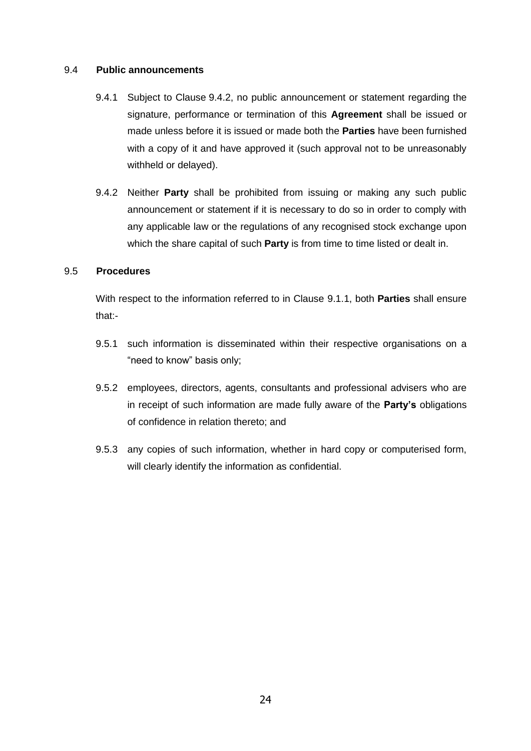#### 9.4 **Public announcements**

- 9.4.1 Subject to Clause [9.4.2,](#page-24-0) no public announcement or statement regarding the signature, performance or termination of this **Agreement** shall be issued or made unless before it is issued or made both the **Parties** have been furnished with a copy of it and have approved it (such approval not to be unreasonably withheld or delayed).
- <span id="page-24-0"></span>9.4.2 Neither **Party** shall be prohibited from issuing or making any such public announcement or statement if it is necessary to do so in order to comply with any applicable law or the regulations of any recognised stock exchange upon which the share capital of such **Party** is from time to time listed or dealt in.

#### 9.5 **Procedures**

With respect to the information referred to in Clause [9.1.1,](#page-21-0) both **Parties** shall ensure that:-

- 9.5.1 such information is disseminated within their respective organisations on a "need to know" basis only;
- 9.5.2 employees, directors, agents, consultants and professional advisers who are in receipt of such information are made fully aware of the **Party's** obligations of confidence in relation thereto; and
- 9.5.3 any copies of such information, whether in hard copy or computerised form, will clearly identify the information as confidential.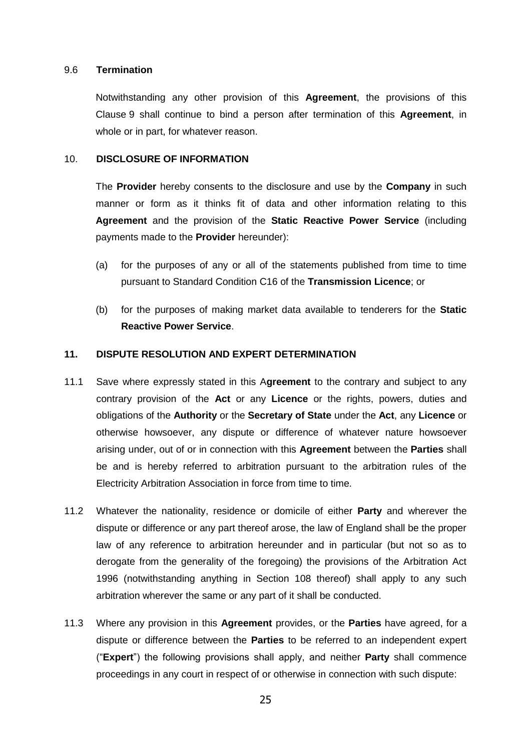#### 9.6 **Termination**

Notwithstanding any other provision of this **Agreement**, the provisions of this Clause [9](#page-21-2) shall continue to bind a person after termination of this **Agreement**, in whole or in part, for whatever reason.

#### 10. **DISCLOSURE OF INFORMATION**

The **Provider** hereby consents to the disclosure and use by the **Company** in such manner or form as it thinks fit of data and other information relating to this **Agreement** and the provision of the **Static Reactive Power Service** (including payments made to the **Provider** hereunder):

- (a) for the purposes of any or all of the statements published from time to time pursuant to Standard Condition C16 of the **Transmission Licence**; or
- (b) for the purposes of making market data available to tenderers for the **Static Reactive Power Service**.

#### <span id="page-25-0"></span>**11. DISPUTE RESOLUTION AND EXPERT DETERMINATION**

- 11.1 Save where expressly stated in this A**greement** to the contrary and subject to any contrary provision of the **Act** or any **Licence** or the rights, powers, duties and obligations of the **Authority** or the **Secretary of State** under the **Act**, any **Licence** or otherwise howsoever, any dispute or difference of whatever nature howsoever arising under, out of or in connection with this **Agreement** between the **Parties** shall be and is hereby referred to arbitration pursuant to the arbitration rules of the Electricity Arbitration Association in force from time to time.
- 11.2 Whatever the nationality, residence or domicile of either **Party** and wherever the dispute or difference or any part thereof arose, the law of England shall be the proper law of any reference to arbitration hereunder and in particular (but not so as to derogate from the generality of the foregoing) the provisions of the Arbitration Act 1996 (notwithstanding anything in Section 108 thereof) shall apply to any such arbitration wherever the same or any part of it shall be conducted.
- <span id="page-25-1"></span>11.3 Where any provision in this **Agreement** provides, or the **Parties** have agreed, for a dispute or difference between the **Parties** to be referred to an independent expert ("**Expert**") the following provisions shall apply, and neither **Party** shall commence proceedings in any court in respect of or otherwise in connection with such dispute: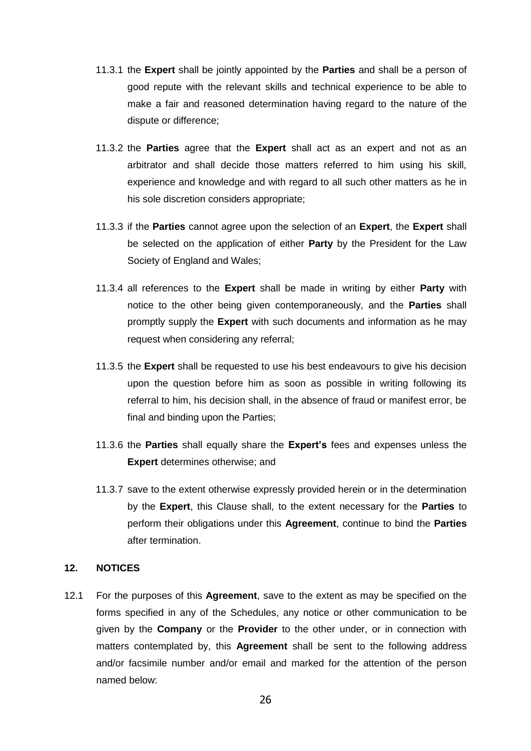- 11.3.1 the **Expert** shall be jointly appointed by the **Parties** and shall be a person of good repute with the relevant skills and technical experience to be able to make a fair and reasoned determination having regard to the nature of the dispute or difference;
- 11.3.2 the **Parties** agree that the **Expert** shall act as an expert and not as an arbitrator and shall decide those matters referred to him using his skill, experience and knowledge and with regard to all such other matters as he in his sole discretion considers appropriate;
- 11.3.3 if the **Parties** cannot agree upon the selection of an **Expert**, the **Expert** shall be selected on the application of either **Party** by the President for the Law Society of England and Wales;
- 11.3.4 all references to the **Expert** shall be made in writing by either **Party** with notice to the other being given contemporaneously, and the **Parties** shall promptly supply the **Expert** with such documents and information as he may request when considering any referral;
- 11.3.5 the **Expert** shall be requested to use his best endeavours to give his decision upon the question before him as soon as possible in writing following its referral to him, his decision shall, in the absence of fraud or manifest error, be final and binding upon the Parties;
- 11.3.6 the **Parties** shall equally share the **Expert's** fees and expenses unless the **Expert** determines otherwise; and
- 11.3.7 save to the extent otherwise expressly provided herein or in the determination by the **Expert**, this Clause shall, to the extent necessary for the **Parties** to perform their obligations under this **Agreement**, continue to bind the **Parties**  after termination.

#### **12. NOTICES**

12.1 For the purposes of this **Agreement**, save to the extent as may be specified on the forms specified in any of the Schedules, any notice or other communication to be given by the **Company** or the **Provider** to the other under, or in connection with matters contemplated by, this **Agreement** shall be sent to the following address and/or facsimile number and/or email and marked for the attention of the person named below: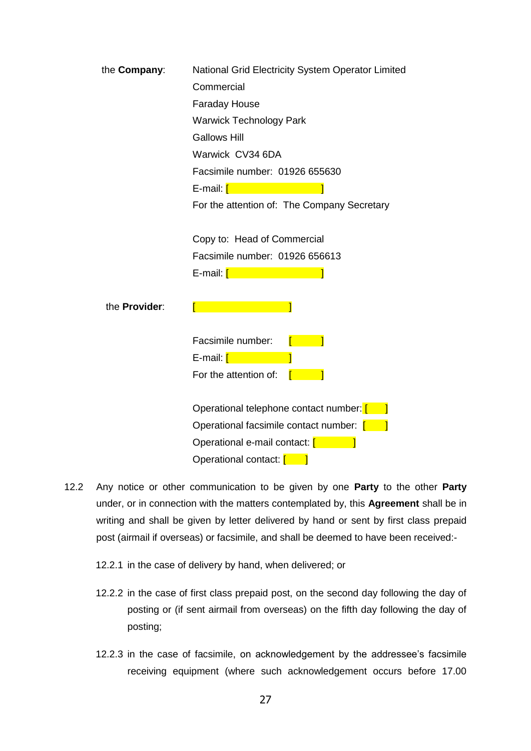| the <b>Company:</b>  | National Grid Electricity System Operator Limited |  |  |  |  |
|----------------------|---------------------------------------------------|--|--|--|--|
|                      | Commercial                                        |  |  |  |  |
|                      | <b>Faraday House</b>                              |  |  |  |  |
|                      | <b>Warwick Technology Park</b>                    |  |  |  |  |
|                      | <b>Gallows Hill</b>                               |  |  |  |  |
|                      | Warwick CV34 6DA                                  |  |  |  |  |
|                      | Facsimile number: 01926 655630                    |  |  |  |  |
|                      | E-mail: [ <b>Contract of Light</b>                |  |  |  |  |
|                      | For the attention of: The Company Secretary       |  |  |  |  |
|                      |                                                   |  |  |  |  |
|                      | Copy to: Head of Commercial                       |  |  |  |  |
|                      | Facsimile number: 01926 656613                    |  |  |  |  |
|                      | E-mail: [ <b>with a starting</b>                  |  |  |  |  |
|                      |                                                   |  |  |  |  |
| the <b>Provider:</b> |                                                   |  |  |  |  |
|                      |                                                   |  |  |  |  |
|                      | Facsimile number:                                 |  |  |  |  |
|                      | E-mail: [ <b>Continued:</b> 1999                  |  |  |  |  |
|                      | For the attention of:                             |  |  |  |  |
|                      |                                                   |  |  |  |  |
|                      | Operational telephone contact number: [           |  |  |  |  |
|                      | Operational facsimile contact number: [1699]      |  |  |  |  |
|                      | Operational e-mail contact: [                     |  |  |  |  |
|                      | Operational contact: [                            |  |  |  |  |

- 12.2 Any notice or other communication to be given by one **Party** to the other **Party** under, or in connection with the matters contemplated by, this **Agreement** shall be in writing and shall be given by letter delivered by hand or sent by first class prepaid post (airmail if overseas) or facsimile, and shall be deemed to have been received:-
	- 12.2.1 in the case of delivery by hand, when delivered; or
	- 12.2.2 in the case of first class prepaid post, on the second day following the day of posting or (if sent airmail from overseas) on the fifth day following the day of posting;
	- 12.2.3 in the case of facsimile, on acknowledgement by the addressee's facsimile receiving equipment (where such acknowledgement occurs before 17.00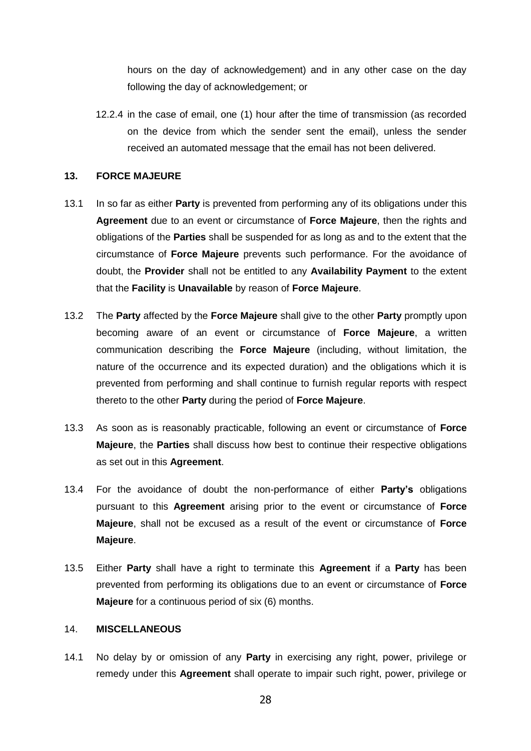hours on the day of acknowledgement) and in any other case on the day following the day of acknowledgement; or

12.2.4 in the case of email, one (1) hour after the time of transmission (as recorded on the device from which the sender sent the email), unless the sender received an automated message that the email has not been delivered.

#### **13. FORCE MAJEURE**

- 13.1 In so far as either **Party** is prevented from performing any of its obligations under this **Agreement** due to an event or circumstance of **Force Majeure**, then the rights and obligations of the **Parties** shall be suspended for as long as and to the extent that the circumstance of **Force Majeure** prevents such performance. For the avoidance of doubt, the **Provider** shall not be entitled to any **Availability Payment** to the extent that the **Facility** is **Unavailable** by reason of **Force Majeure**.
- 13.2 The **Party** affected by the **Force Majeure** shall give to the other **Party** promptly upon becoming aware of an event or circumstance of **Force Majeure**, a written communication describing the **Force Majeure** (including, without limitation, the nature of the occurrence and its expected duration) and the obligations which it is prevented from performing and shall continue to furnish regular reports with respect thereto to the other **Party** during the period of **Force Majeure**.
- 13.3 As soon as is reasonably practicable, following an event or circumstance of **Force Majeure**, the **Parties** shall discuss how best to continue their respective obligations as set out in this **Agreement**.
- 13.4 For the avoidance of doubt the non-performance of either **Party's** obligations pursuant to this **Agreement** arising prior to the event or circumstance of **Force Majeure**, shall not be excused as a result of the event or circumstance of **Force Majeure**.
- 13.5 Either **Party** shall have a right to terminate this **Agreement** if a **Party** has been prevented from performing its obligations due to an event or circumstance of **Force Majeure** for a continuous period of six (6) months.

#### 14. **MISCELLANEOUS**

14.1 No delay by or omission of any **Party** in exercising any right, power, privilege or remedy under this **Agreement** shall operate to impair such right, power, privilege or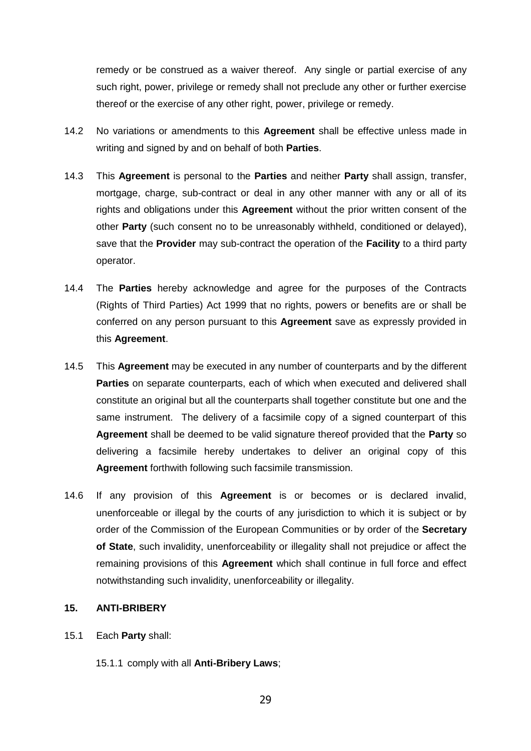remedy or be construed as a waiver thereof. Any single or partial exercise of any such right, power, privilege or remedy shall not preclude any other or further exercise thereof or the exercise of any other right, power, privilege or remedy.

- 14.2 No variations or amendments to this **Agreement** shall be effective unless made in writing and signed by and on behalf of both **Parties**.
- 14.3 This **Agreement** is personal to the **Parties** and neither **Party** shall assign, transfer, mortgage, charge, sub-contract or deal in any other manner with any or all of its rights and obligations under this **Agreement** without the prior written consent of the other **Party** (such consent no to be unreasonably withheld, conditioned or delayed), save that the **Provider** may sub-contract the operation of the **Facility** to a third party operator.
- 14.4 The **Parties** hereby acknowledge and agree for the purposes of the Contracts (Rights of Third Parties) Act 1999 that no rights, powers or benefits are or shall be conferred on any person pursuant to this **Agreement** save as expressly provided in this **Agreement**.
- 14.5 This **Agreement** may be executed in any number of counterparts and by the different **Parties** on separate counterparts, each of which when executed and delivered shall constitute an original but all the counterparts shall together constitute but one and the same instrument. The delivery of a facsimile copy of a signed counterpart of this **Agreement** shall be deemed to be valid signature thereof provided that the **Party** so delivering a facsimile hereby undertakes to deliver an original copy of this **Agreement** forthwith following such facsimile transmission.
- 14.6 If any provision of this **Agreement** is or becomes or is declared invalid, unenforceable or illegal by the courts of any jurisdiction to which it is subject or by order of the Commission of the European Communities or by order of the **Secretary of State**, such invalidity, unenforceability or illegality shall not prejudice or affect the remaining provisions of this **Agreement** which shall continue in full force and effect notwithstanding such invalidity, unenforceability or illegality.

#### <span id="page-29-0"></span>**15. ANTI-BRIBERY**

- 15.1 Each **Party** shall:
	- 15.1.1 comply with all **Anti-Bribery Laws**;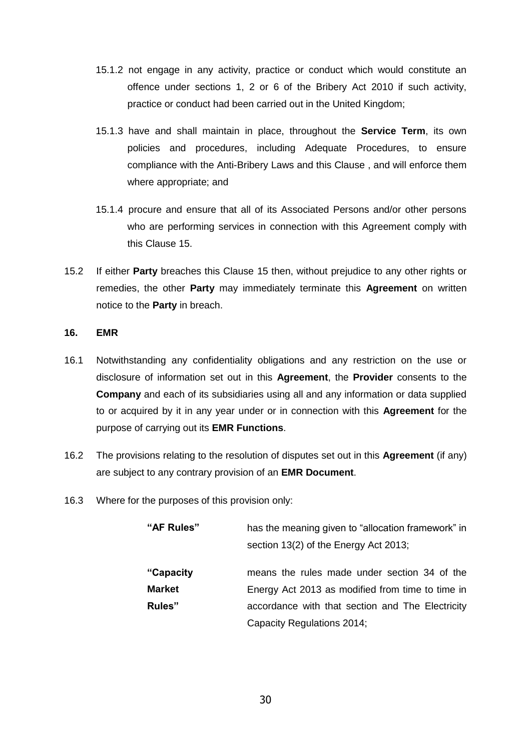- 15.1.2 not engage in any activity, practice or conduct which would constitute an offence under sections 1, 2 or 6 of the Bribery Act 2010 if such activity, practice or conduct had been carried out in the United Kingdom;
- 15.1.3 have and shall maintain in place, throughout the **Service Term**, its own policies and procedures, including Adequate Procedures, to ensure compliance with the Anti-Bribery Laws and this Clause , and will enforce them where appropriate; and
- 15.1.4 procure and ensure that all of its Associated Persons and/or other persons who are performing services in connection with this Agreement comply with this Clause [15.](#page-29-0)
- 15.2 If either **Party** breaches this Clause [15](#page-29-0) then, without prejudice to any other rights or remedies, the other **Party** may immediately terminate this **Agreement** on written notice to the **Party** in breach.

#### **16. EMR**

- 16.1 Notwithstanding any confidentiality obligations and any restriction on the use or disclosure of information set out in this **Agreement**, the **Provider** consents to the **Company** and each of its subsidiaries using all and any information or data supplied to or acquired by it in any year under or in connection with this **Agreement** for the purpose of carrying out its **EMR Functions**.
- 16.2 The provisions relating to the resolution of disputes set out in this **Agreement** (if any) are subject to any contrary provision of an **EMR Document**.
- 16.3 Where for the purposes of this provision only:

| "AF Rules"    | has the meaning given to "allocation framework" in |  |  |  |
|---------------|----------------------------------------------------|--|--|--|
|               | section 13(2) of the Energy Act 2013;              |  |  |  |
| "Capacity"    | means the rules made under section 34 of the       |  |  |  |
| <b>Market</b> | Energy Act 2013 as modified from time to time in   |  |  |  |
| Rules"        | accordance with that section and The Electricity   |  |  |  |
|               | Capacity Regulations 2014;                         |  |  |  |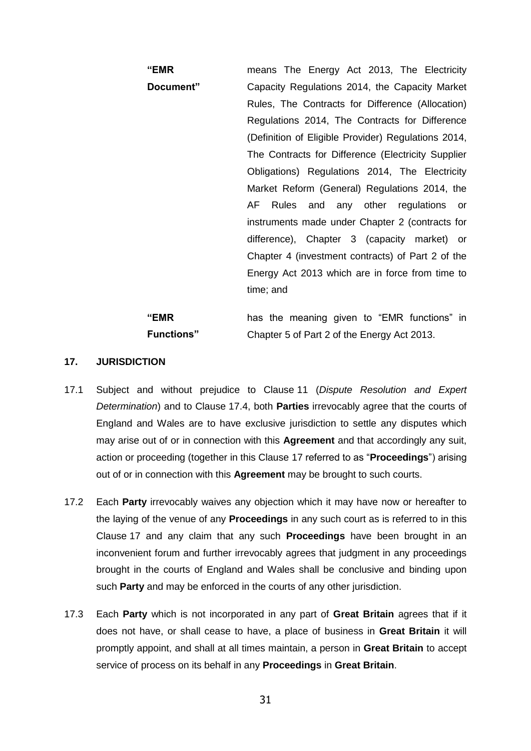**"EMR Document"** means The Energy Act 2013, The Electricity Capacity Regulations 2014, the Capacity Market Rules, The Contracts for Difference (Allocation) Regulations 2014, The Contracts for Difference (Definition of Eligible Provider) Regulations 2014, The Contracts for Difference (Electricity Supplier Obligations) Regulations 2014, The Electricity Market Reform (General) Regulations 2014, the AF Rules and any other regulations or instruments made under Chapter 2 (contracts for difference), Chapter 3 (capacity market) or Chapter 4 (investment contracts) of Part 2 of the Energy Act 2013 which are in force from time to time; and

#### **"EMR Functions"** has the meaning given to "EMR functions" in Chapter 5 of Part 2 of the Energy Act 2013.

#### <span id="page-31-0"></span>**17. JURISDICTION**

- 17.1 Subject and without prejudice to Clause [11](#page-25-0) (*Dispute Resolution and Expert Determination*) and to Clause [17.4,](#page-32-0) both **Parties** irrevocably agree that the courts of England and Wales are to have exclusive jurisdiction to settle any disputes which may arise out of or in connection with this **Agreement** and that accordingly any suit, action or proceeding (together in this Clause [17](#page-31-0) referred to as "**Proceedings**") arising out of or in connection with this **Agreement** may be brought to such courts.
- 17.2 Each **Party** irrevocably waives any objection which it may have now or hereafter to the laying of the venue of any **Proceedings** in any such court as is referred to in this Clause [17](#page-31-0) and any claim that any such **Proceedings** have been brought in an inconvenient forum and further irrevocably agrees that judgment in any proceedings brought in the courts of England and Wales shall be conclusive and binding upon such **Party** and may be enforced in the courts of any other jurisdiction.
- 17.3 Each **Party** which is not incorporated in any part of **Great Britain** agrees that if it does not have, or shall cease to have, a place of business in **Great Britain** it will promptly appoint, and shall at all times maintain, a person in **Great Britain** to accept service of process on its behalf in any **Proceedings** in **Great Britain**.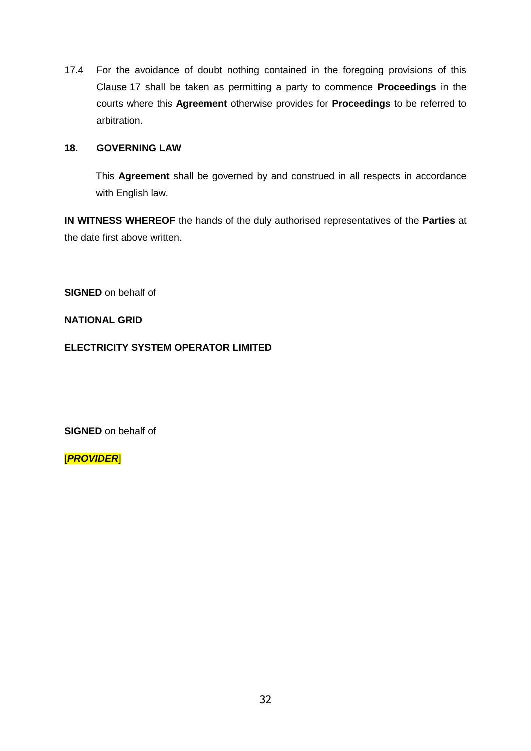<span id="page-32-0"></span>17.4 For the avoidance of doubt nothing contained in the foregoing provisions of this Clause [17](#page-31-0) shall be taken as permitting a party to commence **Proceedings** in the courts where this **Agreement** otherwise provides for **Proceedings** to be referred to arbitration.

#### **18. GOVERNING LAW**

This **Agreement** shall be governed by and construed in all respects in accordance with English law.

**IN WITNESS WHEREOF** the hands of the duly authorised representatives of the **Parties** at the date first above written.

**SIGNED** on behalf of

**NATIONAL GRID** 

**ELECTRICITY SYSTEM OPERATOR LIMITED**

**SIGNED** on behalf of

[*PROVIDER*]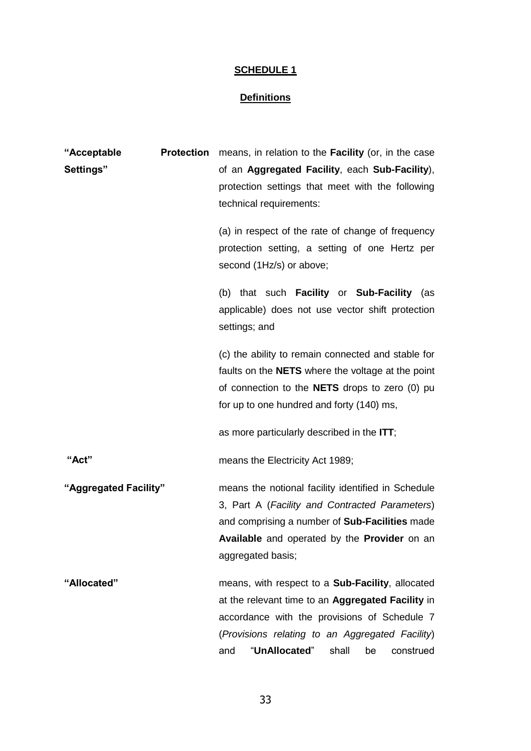# **SCHEDULE 1**

# **Definitions**

| "Acceptable           | <b>Protection</b> | means, in relation to the <b>Facility</b> (or, in the case |
|-----------------------|-------------------|------------------------------------------------------------|
| Settings"             |                   | of an Aggregated Facility, each Sub-Facility),             |
|                       |                   | protection settings that meet with the following           |
|                       |                   | technical requirements:                                    |
|                       |                   | (a) in respect of the rate of change of frequency          |
|                       |                   | protection setting, a setting of one Hertz per             |
|                       |                   | second (1Hz/s) or above;                                   |
|                       |                   | (b) that such <b>Facility</b> or <b>Sub-Facility</b> (as   |
|                       |                   | applicable) does not use vector shift protection           |
|                       |                   | settings; and                                              |
|                       |                   | (c) the ability to remain connected and stable for         |
|                       |                   | faults on the <b>NETS</b> where the voltage at the point   |
|                       |                   | of connection to the <b>NETS</b> drops to zero (0) pu      |
|                       |                   | for up to one hundred and forty (140) ms,                  |
|                       |                   | as more particularly described in the ITT;                 |
| "Act"                 |                   | means the Electricity Act 1989;                            |
| "Aggregated Facility" |                   | means the notional facility identified in Schedule         |
|                       |                   | 3, Part A (Facility and Contracted Parameters)             |
|                       |                   | and comprising a number of Sub-Facilities made             |
|                       |                   | <b>Available</b> and operated by the <b>Provider</b> on an |
|                       |                   | aggregated basis;                                          |
| "Allocated"           |                   | means, with respect to a Sub-Facility, allocated           |
|                       |                   | at the relevant time to an Aggregated Facility in          |
|                       |                   | accordance with the provisions of Schedule 7               |
|                       |                   | (Provisions relating to an Aggregated Facility)            |
|                       |                   | "UnAllocated"<br>shall<br>and<br>be<br>construed           |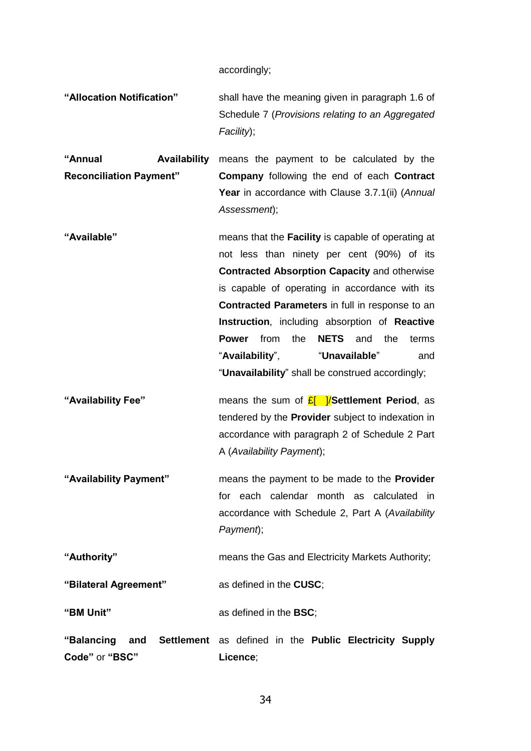accordingly;

**"Allocation Notification"** shall have the meaning given in paragraph 1.6 of Schedule 7 (*Provisions relating to an Aggregated Facility*);

**"Annual Availability Reconciliation Payment"** means the payment to be calculated by the **Company** following the end of each **Contract Year** in accordance with Clause [3.7.1\(ii\)](#page-9-2) (*Annual Assessment*);

- **"Available"** means that the **Facility** is capable of operating at not less than ninety per cent (90%) of its **Contracted Absorption Capacity** and otherwise is capable of operating in accordance with its **Contracted Parameters** in full in response to an **Instruction**, including absorption of **Reactive Power** from the **NETS** and the terms "**Availability**", "**Unavailable**" and "**Unavailability**" shall be construed accordingly;
- **"Availability Fee"** means the sum of £[ ]/**Settlement Period**, as tendered by the **Provider** subject to indexation in accordance with paragraph 2 of Schedule 2 Part A (*Availability Payment*);
- **"Availability Payment"** means the payment to be made to the **Provider** for each calendar month as calculated in accordance with Schedule 2, Part A (*Availability Payment*);

**"Authority"** means the Gas and Electricity Markets Authority;

**"Bilateral Agreement"** as defined in the **CUSC**;

**"BM Unit"** as defined in the **BSC**;

**"Balancing and Settlement**  as defined in the **Public Electricity Supply Code"** or **"BSC" Licence**;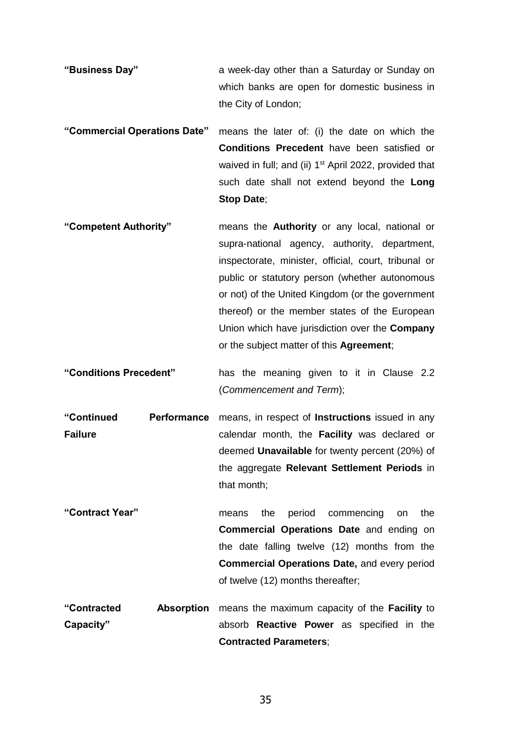- **"Business Day"** a week-day other than a Saturday or Sunday on which banks are open for domestic business in the City of London;
- **"Commercial Operations Date"** means the later of: (i) the date on which the **Conditions Precedent** have been satisfied or waived in full; and (ii) 1<sup>st</sup> April 2022, provided that such date shall not extend beyond the **Long Stop Date**;
- **"Competent Authority"** means the **Authority** or any local, national or supra-national agency, authority, department, inspectorate, minister, official, court, tribunal or public or statutory person (whether autonomous or not) of the United Kingdom (or the government thereof) or the member states of the European Union which have jurisdiction over the **Company** or the subject matter of this **Agreement**;
- **"Conditions Precedent"** has the meaning given to it in Clause [2.2](#page-2-0) (*Commencement and Term*);
- **"Continued Performance Failure**  means, in respect of **Instructions** issued in any calendar month, the **Facility** was declared or deemed **Unavailable** for twenty percent (20%) of the aggregate **Relevant Settlement Periods** in that month;
- **"Contract Year"** means the period commencing on the **Commercial Operations Date** and ending on the date falling twelve (12) months from the **Commercial Operations Date,** and every period of twelve (12) months thereafter;
- **"Contracted Absorption**  means the maximum capacity of the **Facility** to **Capacity"** absorb **Reactive Power** as specified in the **Contracted Parameters**;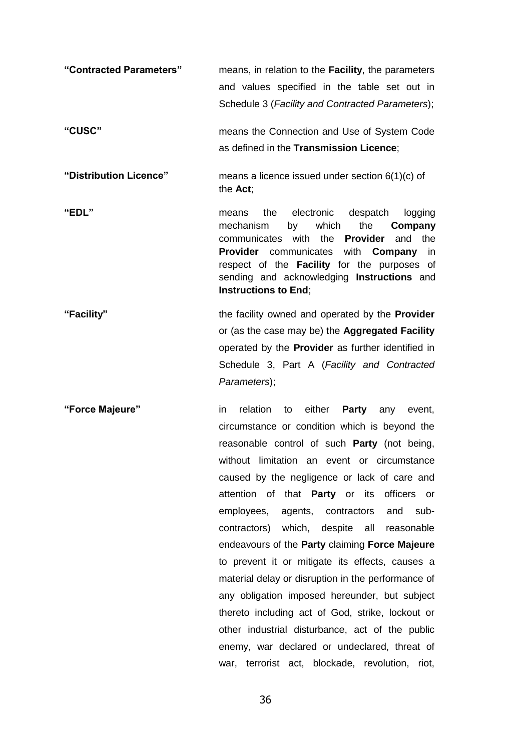**"Contracted Parameters"** means, in relation to the **Facility**, the parameters and values specified in the table set out in Schedule 3 (*Facility and Contracted Parameters*); **"CUSC"** means the Connection and Use of System Code as defined in the **Transmission Licence**; **"Distribution Licence"** means a licence issued under section 6(1)(c) of the **Act**; **"EDL"** means the electronic despatch logging mechanism by which the **Company** communicates with the **Provider** and the **Provider** communicates with **Company** in respect of the **Facility** for the purposes of sending and acknowledging **Instructions** and **Instructions to End**; **"Facility"** the facility owned and operated by the **Provider** or (as the case may be) the **Aggregated Facility**  operated by the **Provider** as further identified in Schedule 3, Part A (*Facility and Contracted Parameters*); **"Force Majeure"** in relation to either **Party** any event,

circumstance or condition which is beyond the reasonable control of such **Party** (not being, without limitation an event or circumstance caused by the negligence or lack of care and attention of that **Party** or its officers or employees, agents, contractors and subcontractors) which, despite all reasonable endeavours of the **Party** claiming **Force Majeure** to prevent it or mitigate its effects, causes a material delay or disruption in the performance of any obligation imposed hereunder, but subject thereto including act of God, strike, lockout or other industrial disturbance, act of the public enemy, war declared or undeclared, threat of war, terrorist act, blockade, revolution, riot,

36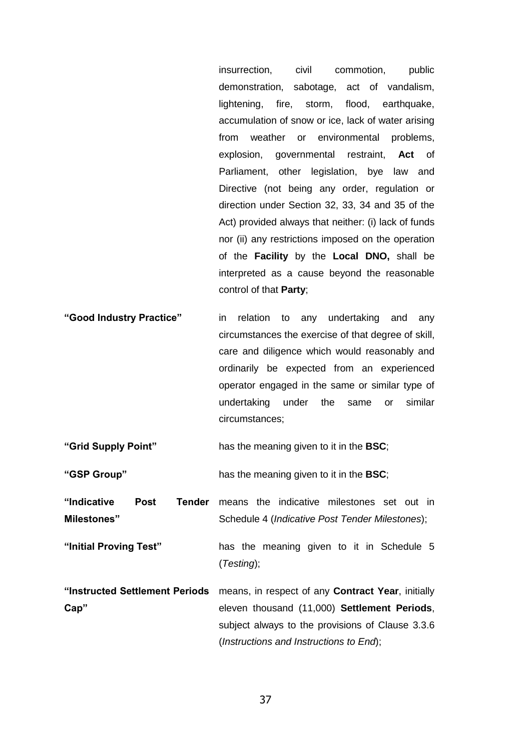insurrection, civil commotion, public demonstration, sabotage, act of vandalism, lightening, fire, storm, flood, earthquake, accumulation of snow or ice, lack of water arising from weather or environmental problems, explosion, governmental restraint, **Act** of Parliament, other legislation, bye law and Directive (not being any order, regulation or direction under Section 32, 33, 34 and 35 of the Act) provided always that neither: (i) lack of funds nor (ii) any restrictions imposed on the operation of the **Facility** by the **Local DNO,** shall be interpreted as a cause beyond the reasonable control of that **Party**;

**"Good Industry Practice"** in relation to any undertaking and any circumstances the exercise of that degree of skill, care and diligence which would reasonably and ordinarily be expected from an experienced operator engaged in the same or similar type of undertaking under the same or similar circumstances;

**"Grid Supply Point"** has the meaning given to it in the **BSC**;

**"GSP Group"** has the meaning given to it in the **BSC**;

- "Indicative Post **Milestones" Tender** means the indicative milestones set out in Schedule 4 (*Indicative Post Tender Milestones*);
- **"Initial Proving Test"** has the meaning given to it in Schedule 5 (*Testing*);
- **"Instructed Settlement Periods Cap"** means, in respect of any **Contract Year**, initially eleven thousand (11,000) **Settlement Periods**, subject always to the provisions of Clause [3.3.6](#page-7-1) (*Instructions and Instructions to End*);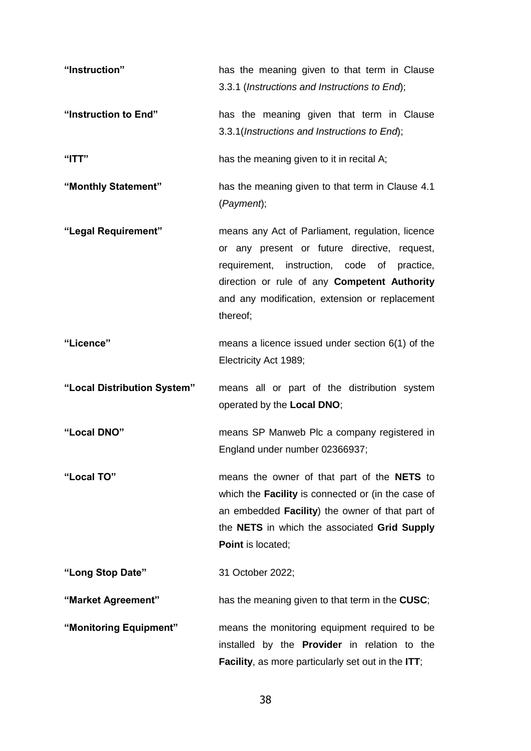**"Instruction"** has the meaning given to that term in Clause [3.3.1](#page-6-1) (*Instructions and Instructions to End*); **"Instruction to End"** has the meaning given that term in Clause [3.3.1\(](#page-6-1)*Instructions and Instructions to End*); **"ITT"** has the meaning given to it in recital A; **"Monthly Statement"** has the meaning given to that term in Clause [4.1](#page-9-3) (*Payment*); **"Legal Requirement"** means any Act of Parliament, regulation, licence or any present or future directive, request, requirement, instruction, code of practice, direction or rule of any **Competent Authority**  and any modification, extension or replacement thereof; **"Licence"** means a licence issued under section 6(1) of the Electricity Act 1989; **"Local Distribution System"** means all or part of the distribution system operated by the **Local DNO**; **"Local DNO"** means SP Manweb Plc a company registered in England under number 02366937; **"Local TO"** means the owner of that part of the **NETS** to which the **Facility** is connected or (in the case of an embedded **Facility**) the owner of that part of the **NETS** in which the associated **Grid Supply Point** is located; **"Long Stop Date"** 31 October 2022; **"Market Agreement"** has the meaning given to that term in the **CUSC**; **"Monitoring Equipment"** means the monitoring equipment required to be installed by the **Provider** in relation to the **Facility**, as more particularly set out in the **ITT**;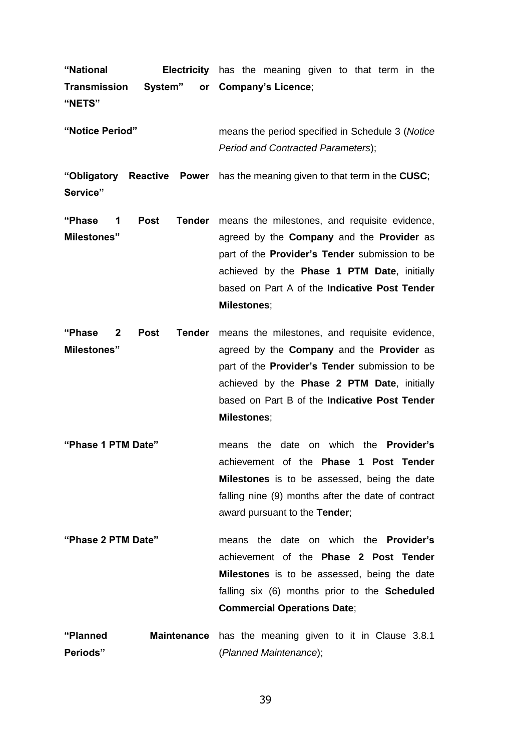| "National<br>Transmission System" or Company's Licence;<br>"NETS"                      |             |                    |                                                                                                                                                                                                                                                                           | <b>Electricity</b> has the meaning given to that term in the                                                           |  |  |  |
|----------------------------------------------------------------------------------------|-------------|--------------------|---------------------------------------------------------------------------------------------------------------------------------------------------------------------------------------------------------------------------------------------------------------------------|------------------------------------------------------------------------------------------------------------------------|--|--|--|
| "Notice Period"                                                                        |             |                    | means the period specified in Schedule 3 (Notice<br>Period and Contracted Parameters);                                                                                                                                                                                    |                                                                                                                        |  |  |  |
| "Obligatory Reactive Power has the meaning given to that term in the CUSC;<br>Service" |             |                    |                                                                                                                                                                                                                                                                           |                                                                                                                        |  |  |  |
| <b>Post</b><br>"Phase<br>Tender<br>1<br><b>Milestones</b> "                            |             | <b>Milestones;</b> | means the milestones, and requisite evidence,<br>agreed by the <b>Company</b> and the <b>Provider</b> as<br>part of the <b>Provider's Tender</b> submission to be<br>achieved by the <b>Phase 1 PTM Date</b> , initially<br>based on Part A of the Indicative Post Tender |                                                                                                                        |  |  |  |
| "Phase<br>$\mathbf{2}$<br><b>Milestones</b> "                                          | <b>Post</b> |                    |                                                                                                                                                                                                                                                                           | <b>Tender</b> means the milestones, and requisite evidence,<br>agreed by the <b>Company</b> and the <b>Provider</b> as |  |  |  |

- part of the **Provider's Tender** submission to be achieved by the **Phase 2 PTM Date**, initially based on Part B of the **Indicative Post Tender Milestones**;
- **"Phase 1 PTM Date"** means the date on which the **Provider's**  achievement of the **Phase 1 Post Tender Milestones** is to be assessed, being the date falling nine (9) months after the date of contract award pursuant to the **Tender**;
- **"Phase 2 PTM Date"** means the date on which the **Provider's**  achievement of the **Phase 2 Post Tender Milestones** is to be assessed, being the date falling six (6) months prior to the **Scheduled Commercial Operations Date**;
- **"Planned Maintenance**  has the meaning given to it in Clause [3.8.1](#page-9-4) **Periods"** (*Planned Maintenance*);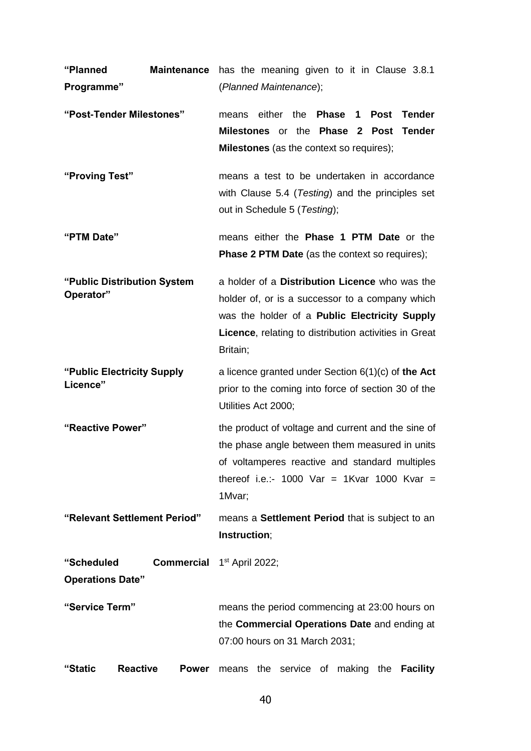| "Planned                                 | <b>Maintenance</b> | has the meaning given to it in Clause 3.8.1                                                                                                                                                                                    |  |  |
|------------------------------------------|--------------------|--------------------------------------------------------------------------------------------------------------------------------------------------------------------------------------------------------------------------------|--|--|
| Programme"                               |                    | (Planned Maintenance);                                                                                                                                                                                                         |  |  |
| "Post-Tender Milestones"                 |                    | either the <b>Phase 1</b><br>Post<br><b>Tender</b><br>means<br>Milestones or the Phase 2 Post<br><b>Tender</b><br><b>Milestones</b> (as the context so requires);                                                              |  |  |
| "Proving Test"                           |                    | means a test to be undertaken in accordance<br>with Clause 5.4 (Testing) and the principles set<br>out in Schedule 5 (Testing);                                                                                                |  |  |
| "PTM Date"                               |                    | means either the Phase 1 PTM Date or the<br><b>Phase 2 PTM Date</b> (as the context so requires);                                                                                                                              |  |  |
| "Public Distribution System<br>Operator" |                    | a holder of a Distribution Licence who was the<br>holder of, or is a successor to a company which<br>was the holder of a Public Electricity Supply<br><b>Licence, relating to distribution activities in Great</b><br>Britain; |  |  |
| "Public Electricity Supply<br>Licence"   |                    | a licence granted under Section $6(1)(c)$ of the Act<br>prior to the coming into force of section 30 of the<br>Utilities Act 2000;                                                                                             |  |  |
| "Reactive Power"                         |                    | the product of voltage and current and the sine of<br>the phase angle between them measured in units<br>of voltamperes reactive and standard multiples<br>thereof i.e.:- 1000 Var = 1Kvar 1000 Kvar =<br>1Mvar;                |  |  |
| "Relevant Settlement Period"             |                    | means a Settlement Period that is subject to an<br>Instruction;                                                                                                                                                                |  |  |
| "Scheduled<br><b>Operations Date"</b>    |                    | <b>Commercial</b> 1 <sup>st</sup> April 2022;                                                                                                                                                                                  |  |  |
| "Service Term"                           |                    | means the period commencing at 23:00 hours on<br>the Commercial Operations Date and ending at<br>07:00 hours on 31 March 2031;                                                                                                 |  |  |
| <b>Reactive</b><br>"Static               | <b>Power</b>       | the service of<br>making<br><b>Facility</b><br>the<br>means                                                                                                                                                                    |  |  |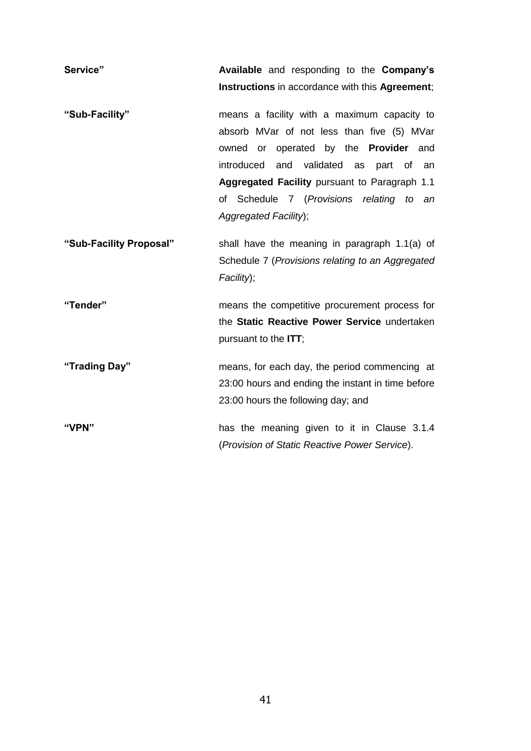| Service"                | Available and responding to the Company's                                                                                                                                                                                                                                                                       |
|-------------------------|-----------------------------------------------------------------------------------------------------------------------------------------------------------------------------------------------------------------------------------------------------------------------------------------------------------------|
|                         | Instructions in accordance with this Agreement;                                                                                                                                                                                                                                                                 |
| "Sub-Facility"          | means a facility with a maximum capacity to<br>absorb MVar of not less than five (5) MVar<br>owned or operated by the <b>Provider</b> and<br>introduced<br>and validated as part of<br>an<br>Aggregated Facility pursuant to Paragraph 1.1<br>of Schedule 7 (Provisions relating to an<br>Aggregated Facility); |
| "Sub-Facility Proposal" | shall have the meaning in paragraph 1.1(a) of<br>Schedule 7 (Provisions relating to an Aggregated<br>Facility);                                                                                                                                                                                                 |
| "Tender"                | means the competitive procurement process for<br>the Static Reactive Power Service undertaken<br>pursuant to the ITT;                                                                                                                                                                                           |
| "Trading Day"           | means, for each day, the period commencing at<br>23:00 hours and ending the instant in time before<br>23:00 hours the following day; and                                                                                                                                                                        |
| "VPN"                   | has the meaning given to it in Clause 3.1.4<br>(Provision of Static Reactive Power Service).                                                                                                                                                                                                                    |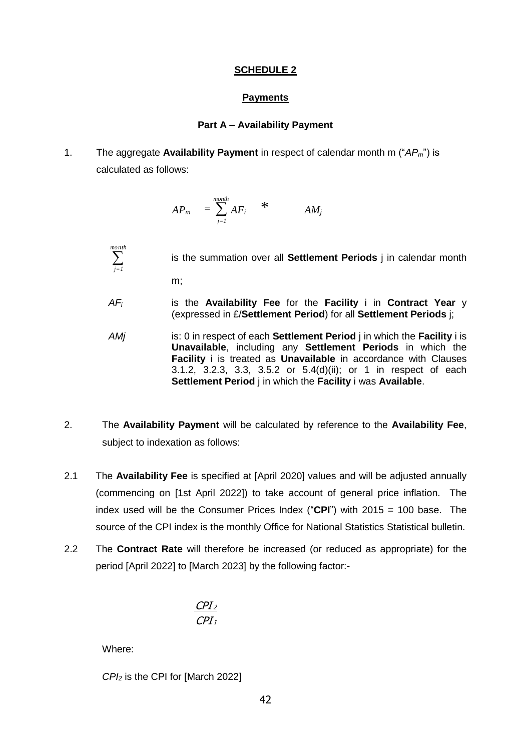#### **SCHEDULE 2**

### **Payments**

#### **Part A – Availability Payment**

1. The aggregate **Availability Payment** in respect of calendar month m ("*APm*") is calculated as follows:

$$
AP_m = \sum_{j=1}^{month} AF_i \qquad * \qquad AM_j
$$

is the summation over all **Settlement Periods** j in calendar month

m;

 *month j=1*

- *AF<sup>i</sup>* is the **Availability Fee** for the **Facility** i in **Contract Year** y (expressed in £/**Settlement Period**) for all **Settlement Periods** j;
- *AMj* is: 0 in respect of each **Settlement Period** j in which the **Facility** i is **Unavailable**, including any **Settlement Periods** in which the **Facility** i is treated as **Unavailable** in accordance with Clauses [3.1.2,](#page-4-2) [3.2.3,](#page-6-3) [3.3,](#page-6-4) [3.5.2](#page-8-2) or [5.4\(](#page-13-0)d)(ii); or 1 in respect of each **Settlement Period** j in which the **Facility** i was **Available**.
- 2. The **Availability Payment** will be calculated by reference to the **Availability Fee**, subject to indexation as follows:
- 2.1 The **Availability Fee** is specified at [April 2020] values and will be adjusted annually (commencing on [1st April 2022]) to take account of general price inflation. The index used will be the Consumer Prices Index ("**CPI**") with 2015 = 100 base. The source of the CPI index is the monthly Office for National Statistics Statistical bulletin.
- 2.2 The **Contract Rate** will therefore be increased (or reduced as appropriate) for the period [April 2022] to [March 2023] by the following factor:-

$$
\frac{\text{CPI}_2}{\text{CPI}_1}
$$

Where:

*CPI<sup>2</sup>* is the CPI for [March 2022]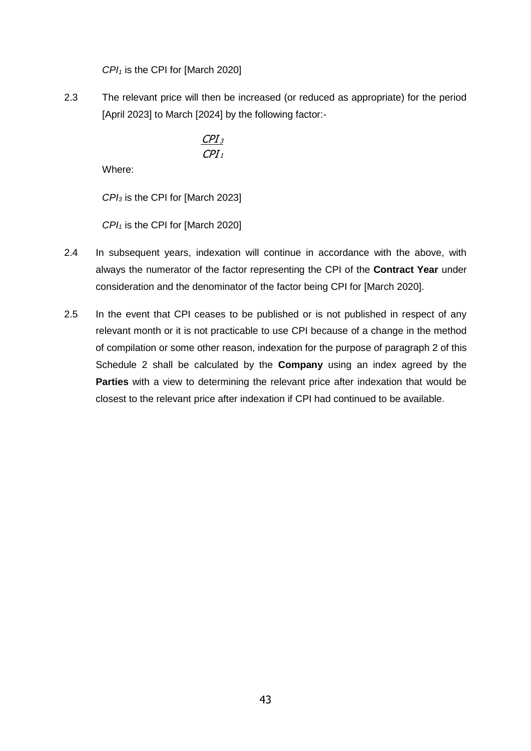*CPI<sup>1</sup>* is the CPI for [March 2020]

2.3 The relevant price will then be increased (or reduced as appropriate) for the period [April 2023] to March [2024] by the following factor:-

$$
\frac{CPI_3}{CPI_1}
$$

Where:

*CPI<sup>3</sup>* is the CPI for [March 2023]

*CPI<sup>1</sup>* is the CPI for [March 2020]

- 2.4 In subsequent years, indexation will continue in accordance with the above, with always the numerator of the factor representing the CPI of the **Contract Year** under consideration and the denominator of the factor being CPI for [March 2020].
- 2.5 In the event that CPI ceases to be published or is not published in respect of any relevant month or it is not practicable to use CPI because of a change in the method of compilation or some other reason, indexation for the purpose of paragraph 2 of this Schedule 2 shall be calculated by the **Company** using an index agreed by the **Parties** with a view to determining the relevant price after indexation that would be closest to the relevant price after indexation if CPI had continued to be available.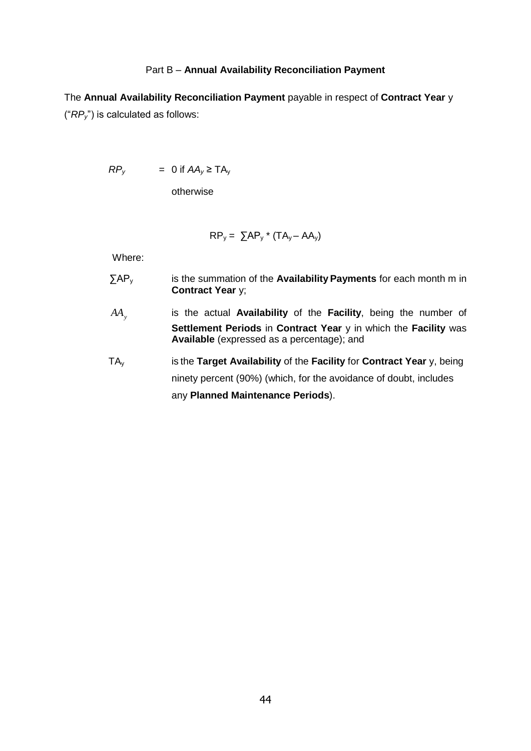#### Part B – **Annual Availability Reconciliation Payment**

The **Annual Availability Reconciliation Payment** payable in respect of **Contract Year** y ("*RPy*") is calculated as follows:

 $RP_y$  = 0 if  $AA_y \geq TA_y$ 

otherwise

$$
RP_{y} = \sum AP_{y} * (TA_{y} - AA_{y})
$$

Where:

- ∑AP<sup>y</sup> is the summation of the **Availability Payments** for each month m in **Contract Year** y;
- *AA<sup>y</sup>* is the actual **Availability** of the **Facility**, being the number of **Settlement Periods** in **Contract Year** y in which the **Facility** was **Available** (expressed as a percentage); and
- TA<sup>y</sup> is the **Target Availability** of the **Facility** for **Contract Year** y, being ninety percent (90%) (which, for the avoidance of doubt, includes any **Planned Maintenance Periods**).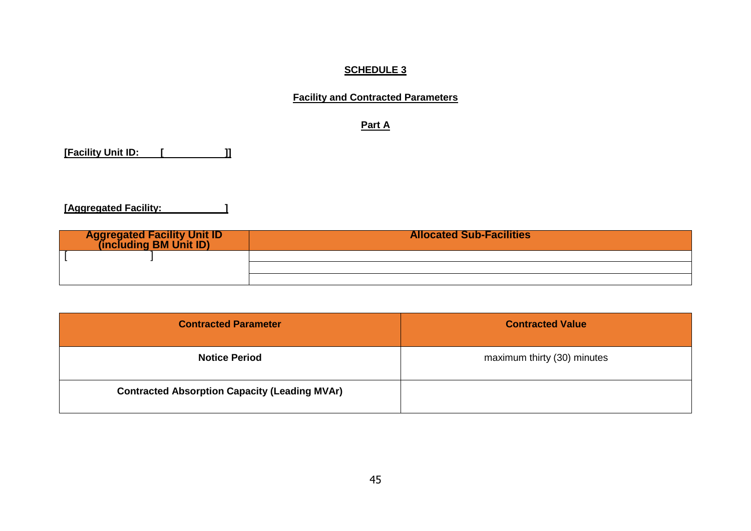# **SCHEDULE 3**

# **Facility and Contracted Parameters**

**Part A**

**[Facility Unit ID: [ ]]**

**[Aggregated Facility: ]**

| <b>Aggregated Facility Unit ID</b><br>(including BM Unit ID) | <b>Allocated Sub-Facilities</b> |
|--------------------------------------------------------------|---------------------------------|
|                                                              |                                 |
|                                                              |                                 |
|                                                              |                                 |

| <b>Contracted Parameter</b>                          | <b>Contracted Value</b>     |
|------------------------------------------------------|-----------------------------|
| <b>Notice Period</b>                                 | maximum thirty (30) minutes |
| <b>Contracted Absorption Capacity (Leading MVAr)</b> |                             |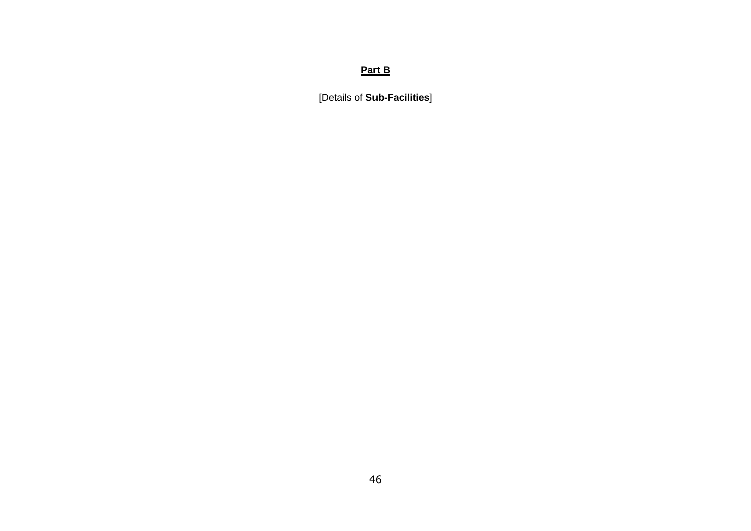# **Part B**

[Details of **Sub-Facilities**]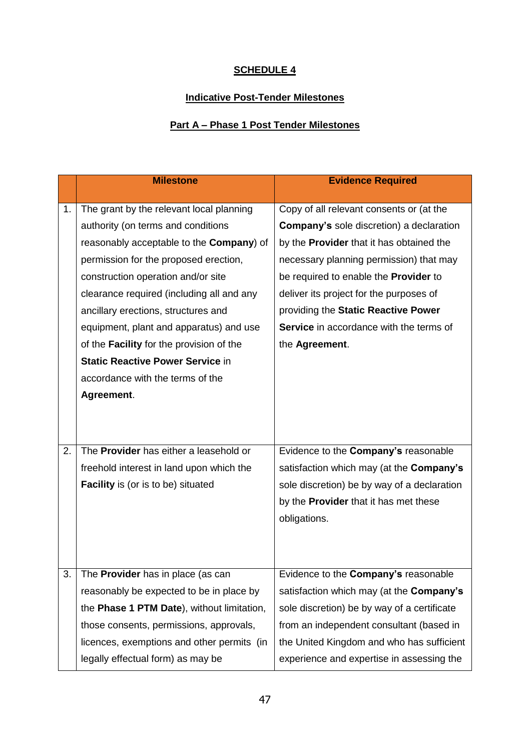# **SCHEDULE 4**

# **Indicative Post-Tender Milestones**

# **Part A – Phase 1 Post Tender Milestones**

|    | <b>Milestone</b>                                 | <b>Evidence Required</b>                        |
|----|--------------------------------------------------|-------------------------------------------------|
|    |                                                  |                                                 |
| 1. | The grant by the relevant local planning         | Copy of all relevant consents or (at the        |
|    | authority (on terms and conditions               | <b>Company's sole discretion) a declaration</b> |
|    | reasonably acceptable to the <b>Company</b> ) of | by the <b>Provider</b> that it has obtained the |
|    | permission for the proposed erection,            | necessary planning permission) that may         |
|    | construction operation and/or site               | be required to enable the <b>Provider</b> to    |
|    | clearance required (including all and any        | deliver its project for the purposes of         |
|    | ancillary erections, structures and              | providing the Static Reactive Power             |
|    | equipment, plant and apparatus) and use          | <b>Service</b> in accordance with the terms of  |
|    | of the <b>Facility</b> for the provision of the  | the Agreement.                                  |
|    | <b>Static Reactive Power Service in</b>          |                                                 |
|    | accordance with the terms of the                 |                                                 |
|    | Agreement.                                       |                                                 |
|    |                                                  |                                                 |
|    |                                                  |                                                 |
| 2. | The Provider has either a leasehold or           | Evidence to the Company's reasonable            |
|    | freehold interest in land upon which the         | satisfaction which may (at the Company's        |
|    |                                                  |                                                 |
|    | <b>Facility</b> is (or is to be) situated        | sole discretion) be by way of a declaration     |
|    |                                                  | by the <b>Provider</b> that it has met these    |
|    |                                                  | obligations.                                    |
|    |                                                  |                                                 |
|    |                                                  |                                                 |
| 3. | The Provider has in place (as can                | Evidence to the Company's reasonable            |
|    | reasonably be expected to be in place by         | satisfaction which may (at the Company's        |
|    | the Phase 1 PTM Date), without limitation,       | sole discretion) be by way of a certificate     |
|    | those consents, permissions, approvals,          | from an independent consultant (based in        |
|    | licences, exemptions and other permits (in       | the United Kingdom and who has sufficient       |
|    | legally effectual form) as may be                | experience and expertise in assessing the       |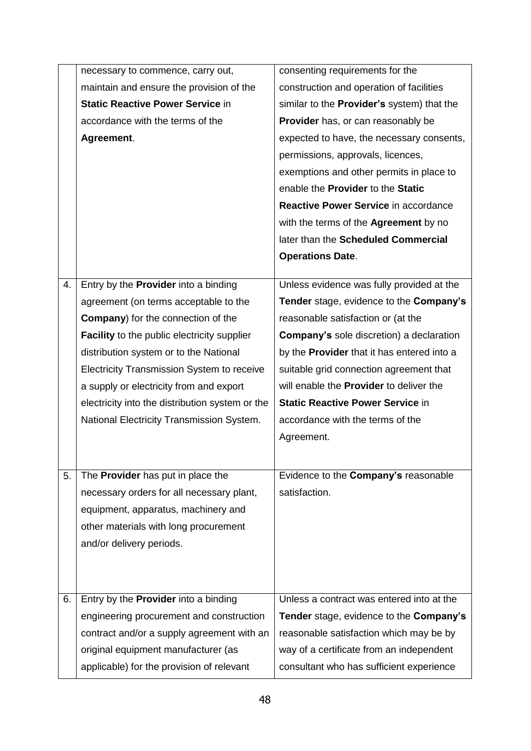|    | necessary to commence, carry out,                  | consenting requirements for the                       |
|----|----------------------------------------------------|-------------------------------------------------------|
|    | maintain and ensure the provision of the           | construction and operation of facilities              |
|    | <b>Static Reactive Power Service in</b>            | similar to the Provider's system) that the            |
|    | accordance with the terms of the                   | Provider has, or can reasonably be                    |
|    | Agreement.                                         | expected to have, the necessary consents,             |
|    |                                                    | permissions, approvals, licences,                     |
|    |                                                    | exemptions and other permits in place to              |
|    |                                                    | enable the Provider to the Static                     |
|    |                                                    | Reactive Power Service in accordance                  |
|    |                                                    | with the terms of the <b>Agreement</b> by no          |
|    |                                                    | later than the Scheduled Commercial                   |
|    |                                                    | <b>Operations Date.</b>                               |
|    |                                                    |                                                       |
| 4. | Entry by the <b>Provider</b> into a binding        | Unless evidence was fully provided at the             |
|    | agreement (on terms acceptable to the              | Tender stage, evidence to the Company's               |
|    | <b>Company</b> ) for the connection of the         | reasonable satisfaction or (at the                    |
|    | <b>Facility</b> to the public electricity supplier | <b>Company's sole discretion) a declaration</b>       |
|    | distribution system or to the National             | by the <b>Provider</b> that it has entered into a     |
|    | Electricity Transmission System to receive         | suitable grid connection agreement that               |
|    | a supply or electricity from and export            | will enable the <b>Provider</b> to deliver the        |
|    | electricity into the distribution system or the    | <b>Static Reactive Power Service in</b>               |
|    | National Electricity Transmission System.          | accordance with the terms of the                      |
|    |                                                    | Agreement.                                            |
|    |                                                    |                                                       |
| 5. | The Provider has put in place the                  | Evidence to the Company's reasonable                  |
|    | necessary orders for all necessary plant,          | satisfaction.                                         |
|    | equipment, apparatus, machinery and                |                                                       |
|    | other materials with long procurement              |                                                       |
|    | and/or delivery periods.                           |                                                       |
|    |                                                    |                                                       |
|    |                                                    |                                                       |
| 6. | Entry by the <b>Provider</b> into a binding        | Unless a contract was entered into at the             |
|    | engineering procurement and construction           | <b>Tender</b> stage, evidence to the <b>Company's</b> |
|    | contract and/or a supply agreement with an         | reasonable satisfaction which may be by               |
|    | original equipment manufacturer (as                | way of a certificate from an independent              |
|    |                                                    |                                                       |
|    | applicable) for the provision of relevant          | consultant who has sufficient experience              |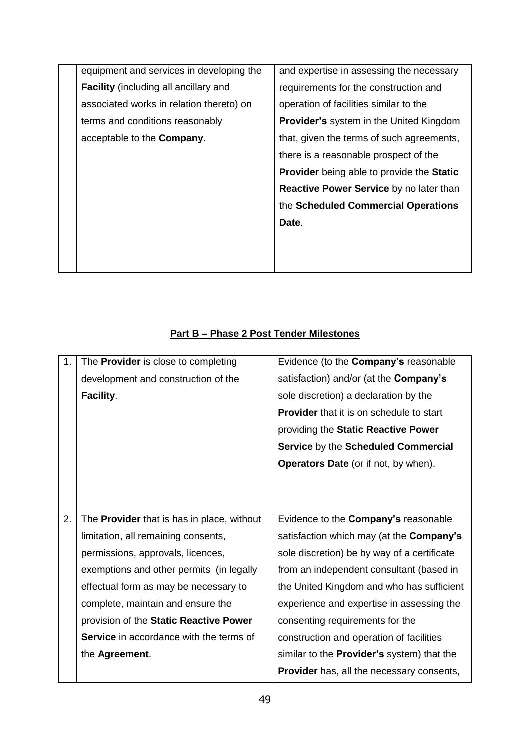| equipment and services in developing the     | and expertise in assessing the necessary                |
|----------------------------------------------|---------------------------------------------------------|
| <b>Facility</b> (including all ancillary and | requirements for the construction and                   |
| associated works in relation thereto) on     | operation of facilities similar to the                  |
| terms and conditions reasonably              | <b>Provider's</b> system in the United Kingdom          |
| acceptable to the <b>Company</b> .           | that, given the terms of such agreements,               |
|                                              | there is a reasonable prospect of the                   |
|                                              | <b>Provider</b> being able to provide the <b>Static</b> |
|                                              | <b>Reactive Power Service by no later than</b>          |
|                                              | the Scheduled Commercial Operations                     |
|                                              | Date.                                                   |
|                                              |                                                         |
|                                              |                                                         |
|                                              |                                                         |

# **Part B – Phase 2 Post Tender Milestones**

| 1. | The <b>Provider</b> is close to completing     | Evidence (to the Company's reasonable             |
|----|------------------------------------------------|---------------------------------------------------|
|    | development and construction of the            | satisfaction) and/or (at the <b>Company's</b>     |
|    | Facility.                                      | sole discretion) a declaration by the             |
|    |                                                | <b>Provider</b> that it is on schedule to start   |
|    |                                                | providing the Static Reactive Power               |
|    |                                                | Service by the Scheduled Commercial               |
|    |                                                | <b>Operators Date</b> (or if not, by when).       |
|    |                                                |                                                   |
|    |                                                |                                                   |
| 2. | The Provider that is has in place, without     | Evidence to the Company's reasonable              |
|    | limitation, all remaining consents,            | satisfaction which may (at the <b>Company's</b>   |
|    | permissions, approvals, licences,              | sole discretion) be by way of a certificate       |
|    | exemptions and other permits (in legally       | from an independent consultant (based in          |
|    | effectual form as may be necessary to          | the United Kingdom and who has sufficient         |
|    | complete, maintain and ensure the              | experience and expertise in assessing the         |
|    | provision of the Static Reactive Power         | consenting requirements for the                   |
|    | <b>Service</b> in accordance with the terms of | construction and operation of facilities          |
|    | the Agreement.                                 | similar to the <b>Provider's</b> system) that the |
|    |                                                | <b>Provider</b> has, all the necessary consents,  |
|    |                                                |                                                   |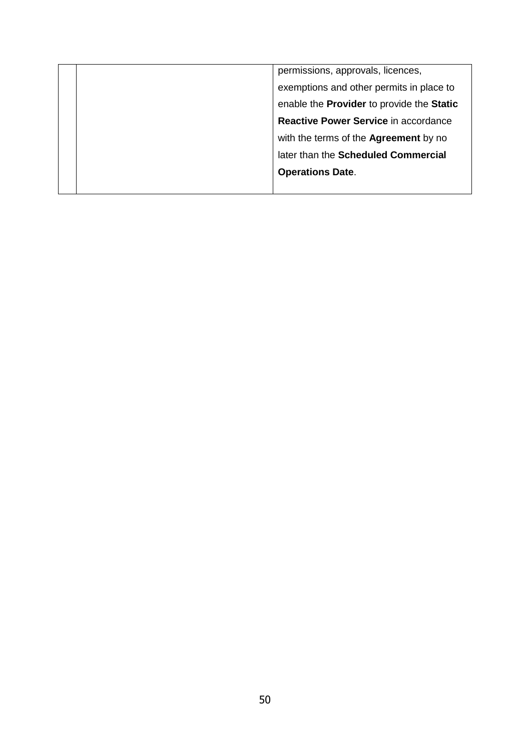|  | permissions, approvals, licences,         |
|--|-------------------------------------------|
|  | exemptions and other permits in place to  |
|  | enable the Provider to provide the Static |
|  | Reactive Power Service in accordance      |
|  | with the terms of the Agreement by no     |
|  | later than the Scheduled Commercial       |
|  | <b>Operations Date.</b>                   |
|  |                                           |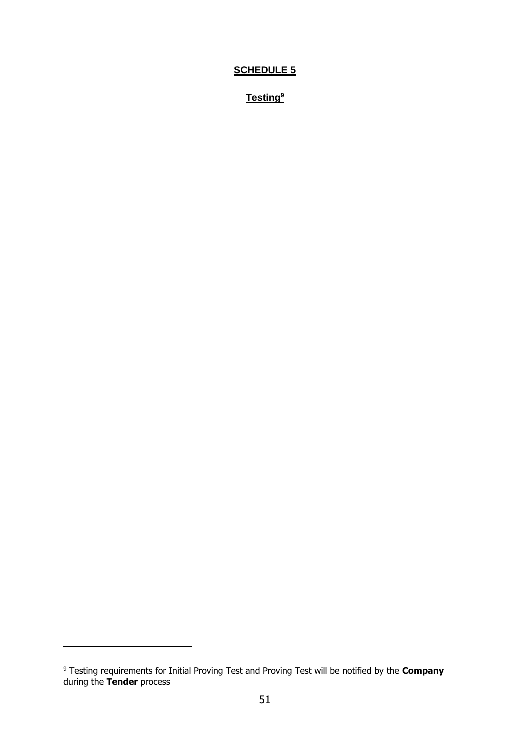# **SCHEDULE 5**

**Testing<sup>9</sup>**

 $\overline{a}$ 

<sup>9</sup> Testing requirements for Initial Proving Test and Proving Test will be notified by the **Company** during the **Tender** process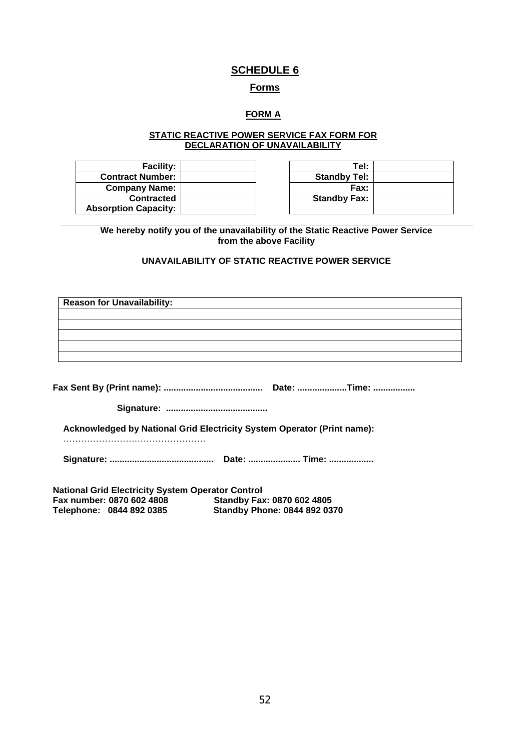## **SCHEDULE 6**

#### **Forms**

### **FORM A**

#### **STATIC REACTIVE POWER SERVICE FAX FORM FOR DECLARATION OF UNAVAILABILITY**

| <b>Facility:</b>            | Tel:                |
|-----------------------------|---------------------|
| <b>Contract Number:</b>     | <b>Standby Tel:</b> |
| <b>Company Name:</b>        | <b>Fax:</b>         |
| <b>Contracted</b>           | <b>Standby Fax:</b> |
| <b>Absorption Capacity:</b> |                     |

| Tel:                |
|---------------------|
| <b>Standby Tel:</b> |
| Fax:                |
| <b>Standby Fax:</b> |
|                     |

**We hereby notify you of the unavailability of the Static Reactive Power Service from the above Facility**

### **UNAVAILABILITY OF STATIC REACTIVE POWER SERVICE**

| <b>Reason for Unavailability:</b>                        |                                                                         |
|----------------------------------------------------------|-------------------------------------------------------------------------|
|                                                          |                                                                         |
|                                                          |                                                                         |
|                                                          |                                                                         |
|                                                          |                                                                         |
|                                                          |                                                                         |
|                                                          |                                                                         |
|                                                          |                                                                         |
|                                                          |                                                                         |
|                                                          | Acknowledged by National Grid Electricity System Operator (Print name): |
|                                                          |                                                                         |
| <b>National Grid Electricity System Operator Control</b> |                                                                         |
| Fax numher: 0870 602 4808                                | Standhv Fay: 0870 602 4805                                              |

**Fax number: 0870 602 4808 Standby Fax: 0870 602 4805**

**Telephone: 0844 892 0385 Standby Phone: 0844 892 0370**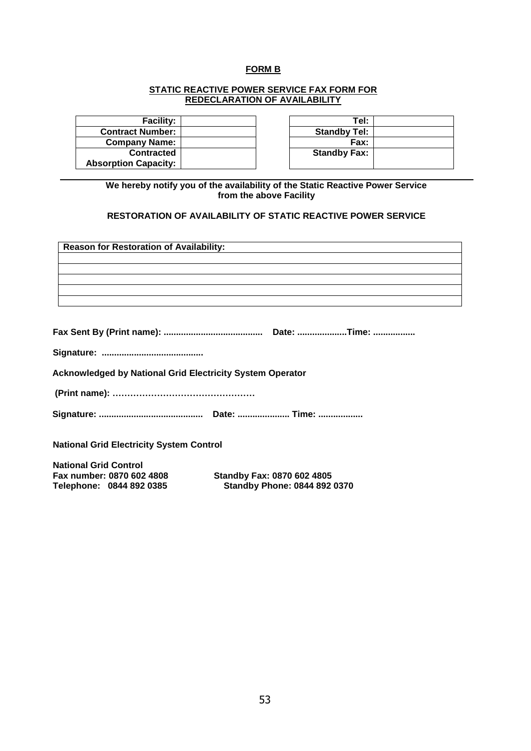# **FORM B**

#### **STATIC REACTIVE POWER SERVICE FAX FORM FOR REDECLARATION OF AVAILABILITY**

| <b>Facility:</b>            | Tel:                |
|-----------------------------|---------------------|
| <b>Contract Number:</b>     | <b>Standby Tel:</b> |
| <b>Company Name:</b>        | <b>Fax:</b>         |
| <b>Contracted</b>           | <b>Standby Fax:</b> |
| <b>Absorption Capacity:</b> |                     |

| Tel:                |  |
|---------------------|--|
| <b>Standby Tel:</b> |  |
| Fax:                |  |
| <b>Standby Fax:</b> |  |
|                     |  |

**We hereby notify you of the availability of the Static Reactive Power Service from the above Facility**

#### **RESTORATION OF AVAILABILITY OF STATIC REACTIVE POWER SERVICE**

| <b>Reason for Restoration of Availability:</b>                   |                                     |
|------------------------------------------------------------------|-------------------------------------|
|                                                                  |                                     |
|                                                                  |                                     |
|                                                                  |                                     |
|                                                                  |                                     |
|                                                                  |                                     |
|                                                                  |                                     |
|                                                                  |                                     |
|                                                                  |                                     |
| <b>Acknowledged by National Grid Electricity System Operator</b> |                                     |
|                                                                  |                                     |
|                                                                  |                                     |
| <b>National Grid Electricity System Control</b>                  |                                     |
| <b>National Grid Control</b>                                     |                                     |
| Fax number: 0870 602 4808                                        | <b>Standby Fax: 0870 602 4805</b>   |
| Telephone: 0844 892 0385                                         | <b>Standby Phone: 0844 892 0370</b> |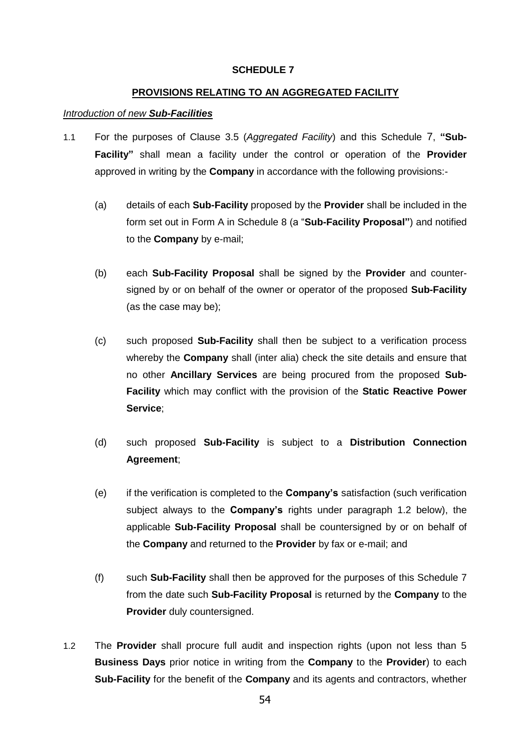#### **SCHEDULE 7**

#### **PROVISIONS RELATING TO AN AGGREGATED FACILITY**

#### *Introduction of new Sub-Facilities*

- 1.1 For the purposes of Clause [3.5](#page-7-0) (*Aggregated Facility*) and this Schedule 7, **"Sub-Facility"** shall mean a facility under the control or operation of the **Provider** approved in writing by the **Company** in accordance with the following provisions:-
	- (a) details of each **Sub-Facility** proposed by the **Provider** shall be included in the form set out in Form A in Schedule 8 (a "**Sub-Facility Proposal"**) and notified to the **Company** by e-mail;
	- (b) each **Sub-Facility Proposal** shall be signed by the **Provider** and countersigned by or on behalf of the owner or operator of the proposed **Sub-Facility** (as the case may be);
	- (c) such proposed **Sub-Facility** shall then be subject to a verification process whereby the **Company** shall (inter alia) check the site details and ensure that no other **Ancillary Services** are being procured from the proposed **Sub-Facility** which may conflict with the provision of the **Static Reactive Power Service**;
	- (d) such proposed **Sub-Facility** is subject to a **Distribution Connection Agreement**;
	- (e) if the verification is completed to the **Company's** satisfaction (such verification subject always to the **Company's** rights under paragraph 1.2 below), the applicable **Sub-Facility Proposal** shall be countersigned by or on behalf of the **Company** and returned to the **Provider** by fax or e-mail; and
	- (f) such **Sub-Facility** shall then be approved for the purposes of this Schedule 7 from the date such **Sub-Facility Proposal** is returned by the **Company** to the **Provider** duly countersigned.
- <span id="page-54-0"></span>1.2 The **Provider** shall procure full audit and inspection rights (upon not less than 5 **Business Days** prior notice in writing from the **Company** to the **Provider**) to each **Sub-Facility** for the benefit of the **Company** and its agents and contractors, whether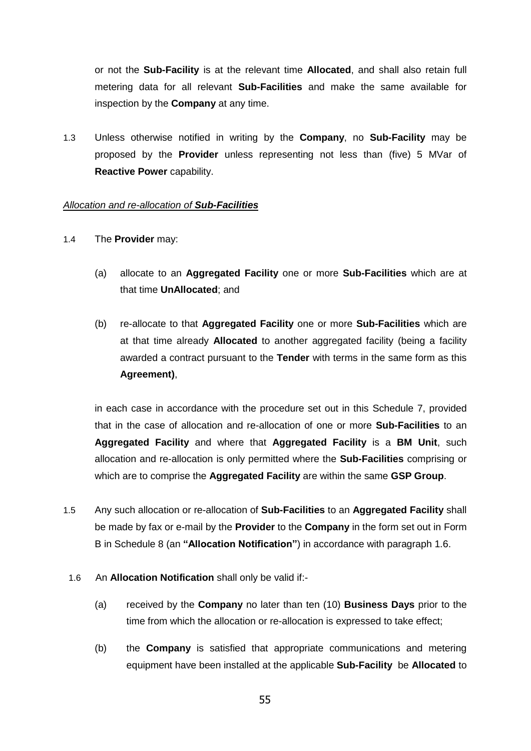or not the **Sub-Facility** is at the relevant time **Allocated**, and shall also retain full metering data for all relevant **Sub-Facilities** and make the same available for inspection by the **Company** at any time.

1.3 Unless otherwise notified in writing by the **Company**, no **Sub-Facility** may be proposed by the **Provider** unless representing not less than (five) 5 MVar of **Reactive Power** capability.

#### *Allocation and re-allocation of Sub-Facilities*

- 1.4 The **Provider** may:
	- (a) allocate to an **Aggregated Facility** one or more **Sub-Facilities** which are at that time **UnAllocated**; and
	- (b) re-allocate to that **Aggregated Facility** one or more **Sub-Facilities** which are at that time already **Allocated** to another aggregated facility (being a facility awarded a contract pursuant to the **Tender** with terms in the same form as this **Agreement)**,

in each case in accordance with the procedure set out in this Schedule 7, provided that in the case of allocation and re-allocation of one or more **Sub-Facilities** to an **Aggregated Facility** and where that **Aggregated Facility** is a **BM Unit**, such allocation and re-allocation is only permitted where the **Sub-Facilities** comprising or which are to comprise the **Aggregated Facility** are within the same **GSP Group**.

- 1.5 Any such allocation or re-allocation of **Sub-Facilities** to an **Aggregated Facility** shall be made by fax or e-mail by the **Provider** to the **Company** in the form set out in Form B in Schedule 8 (an **"Allocation Notification"**) in accordance with paragraph 1.6.
	- 1.6 An **Allocation Notification** shall only be valid if:-
		- (a) received by the **Company** no later than ten (10) **Business Days** prior to the time from which the allocation or re-allocation is expressed to take effect;
		- (b) the **Company** is satisfied that appropriate communications and metering equipment have been installed at the applicable **Sub-Facility** be **Allocated** to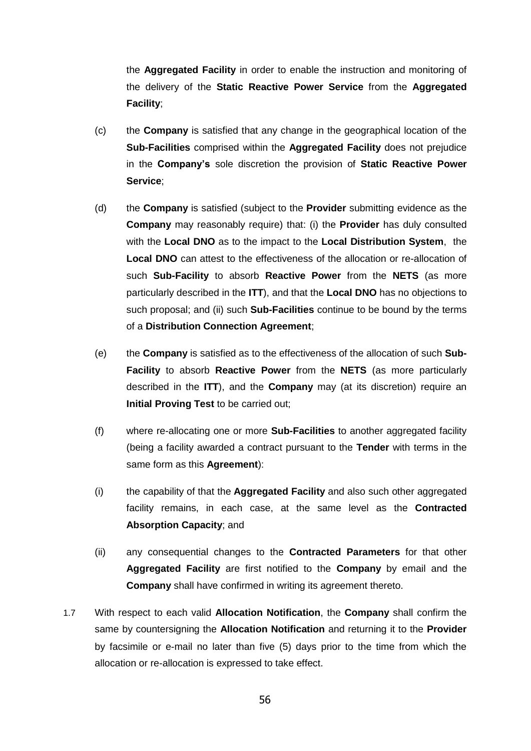the **Aggregated Facility** in order to enable the instruction and monitoring of the delivery of the **Static Reactive Power Service** from the **Aggregated Facility**;

- (c) the **Company** is satisfied that any change in the geographical location of the **Sub-Facilities** comprised within the **Aggregated Facility** does not prejudice in the **Company's** sole discretion the provision of **Static Reactive Power Service**;
- (d) the **Company** is satisfied (subject to the **Provider** submitting evidence as the **Company** may reasonably require) that: (i) the **Provider** has duly consulted with the **Local DNO** as to the impact to the **Local Distribution System**, the **Local DNO** can attest to the effectiveness of the allocation or re-allocation of such **Sub-Facility** to absorb **Reactive Power** from the **NETS** (as more particularly described in the **ITT**), and that the **Local DNO** has no objections to such proposal; and (ii) such **Sub-Facilities** continue to be bound by the terms of a **Distribution Connection Agreement**;
- (e) the **Company** is satisfied as to the effectiveness of the allocation of such **Sub-Facility** to absorb **Reactive Power** from the **NETS** (as more particularly described in the **ITT**), and the **Company** may (at its discretion) require an **Initial Proving Test** to be carried out;
- (f) where re-allocating one or more **Sub-Facilities** to another aggregated facility (being a facility awarded a contract pursuant to the **Tender** with terms in the same form as this **Agreement**):
- (i) the capability of that the **Aggregated Facility** and also such other aggregated facility remains, in each case, at the same level as the **Contracted Absorption Capacity**; and
- (ii) any consequential changes to the **Contracted Parameters** for that other **Aggregated Facility** are first notified to the **Company** by email and the **Company** shall have confirmed in writing its agreement thereto.
- 1.7 With respect to each valid **Allocation Notification**, the **Company** shall confirm the same by countersigning the **Allocation Notification** and returning it to the **Provider** by facsimile or e-mail no later than five (5) days prior to the time from which the allocation or re-allocation is expressed to take effect.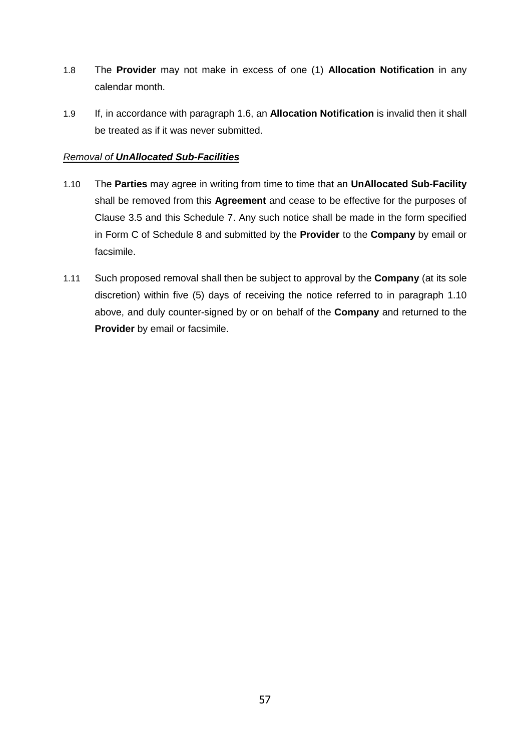- 1.8 The **Provider** may not make in excess of one (1) **Allocation Notification** in any calendar month.
- 1.9 If, in accordance with paragraph 1.6, an **Allocation Notification** is invalid then it shall be treated as if it was never submitted.

### *Removal of UnAllocated Sub-Facilities*

- 1.10 The **Parties** may agree in writing from time to time that an **UnAllocated Sub-Facility** shall be removed from this **Agreement** and cease to be effective for the purposes of Clause [3.5](#page-7-0) and this Schedule 7. Any such notice shall be made in the form specified in Form C of Schedule 8 and submitted by the **Provider** to the **Company** by email or facsimile.
- 1.11 Such proposed removal shall then be subject to approval by the **Company** (at its sole discretion) within five (5) days of receiving the notice referred to in paragraph 1.10 above, and duly counter-signed by or on behalf of the **Company** and returned to the **Provider** by email or facsimile.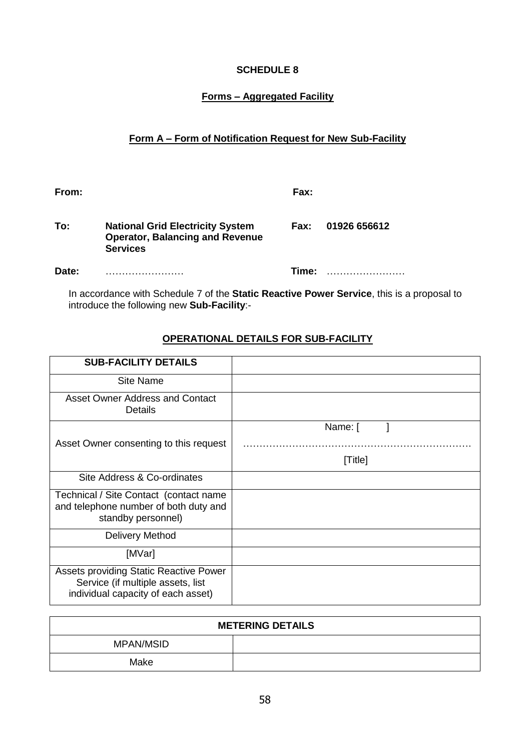### **SCHEDULE 8**

# **Forms – Aggregated Facility**

# **Form A – Form of Notification Request for New Sub-Facility**

| From: |                                                                                                      | Fax:  |              |
|-------|------------------------------------------------------------------------------------------------------|-------|--------------|
| To:   | <b>National Grid Electricity System</b><br><b>Operator, Balancing and Revenue</b><br><b>Services</b> | Fax:  | 01926 656612 |
| Date: |                                                                                                      | Time: |              |

In accordance with Schedule 7 of the **Static Reactive Power Service**, this is a proposal to introduce the following new **Sub-Facility**:-

# **OPERATIONAL DETAILS FOR SUB-FACILITY**

| <b>SUB-FACILITY DETAILS</b>                                                                                       |         |
|-------------------------------------------------------------------------------------------------------------------|---------|
| Site Name                                                                                                         |         |
| Asset Owner Address and Contact<br><b>Details</b>                                                                 |         |
|                                                                                                                   | Name: [ |
| Asset Owner consenting to this request                                                                            |         |
|                                                                                                                   | [Title] |
| Site Address & Co-ordinates                                                                                       |         |
| Technical / Site Contact (contact name<br>and telephone number of both duty and<br>standby personnel)             |         |
| Delivery Method                                                                                                   |         |
| [MVar]                                                                                                            |         |
| Assets providing Static Reactive Power<br>Service (if multiple assets, list<br>individual capacity of each asset) |         |

| <b>METERING DETAILS</b> |  |  |
|-------------------------|--|--|
| MPAN/MSID               |  |  |
| Make                    |  |  |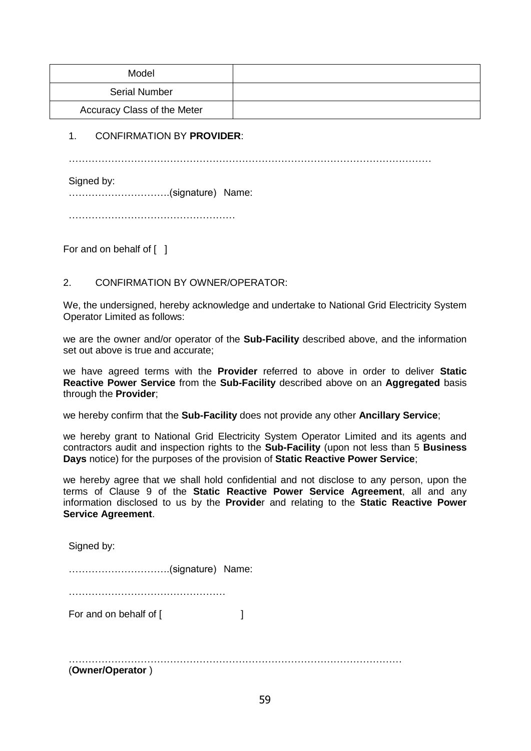| Model                       |  |
|-----------------------------|--|
| <b>Serial Number</b>        |  |
| Accuracy Class of the Meter |  |

#### 1. CONFIRMATION BY **PROVIDER**:

…………………………………………………………………………………………………

Signed by:

………………………….(signature) Name:

……………………………………………

For and on behalf of [ ]

### 2. CONFIRMATION BY OWNER/OPERATOR:

We, the undersigned, hereby acknowledge and undertake to National Grid Electricity System Operator Limited as follows:

we are the owner and/or operator of the **Sub-Facility** described above, and the information set out above is true and accurate;

we have agreed terms with the **Provider** referred to above in order to deliver **Static Reactive Power Service** from the **Sub-Facility** described above on an **Aggregated** basis through the **Provider**;

we hereby confirm that the **Sub-Facility** does not provide any other **Ancillary Service**;

we hereby grant to National Grid Electricity System Operator Limited and its agents and contractors audit and inspection rights to the **Sub-Facility** (upon not less than 5 **Business Days** notice) for the purposes of the provision of **Static Reactive Power Service**;

we hereby agree that we shall hold confidential and not disclose to any person, upon the terms of Clause 9 of the **Static Reactive Power Service Agreement**, all and any information disclosed to us by the **Provide**r and relating to the **Static Reactive Power Service Agreement**.

Signed by:

………………………….(signature) Name:

…………………………………………

For and on behalf of [  $\qquad \qquad$  ]

………………………………………………………………………………………… (**Owner/Operator** )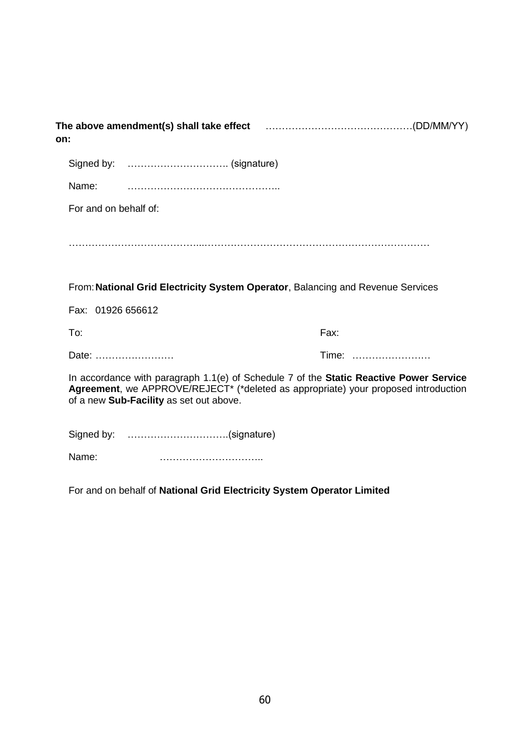| The above amendment(s) shall take effect match matches matches (DD/MM/YY)<br>on:                                                                                                                                          |       |  |
|---------------------------------------------------------------------------------------------------------------------------------------------------------------------------------------------------------------------------|-------|--|
|                                                                                                                                                                                                                           |       |  |
| Name:                                                                                                                                                                                                                     |       |  |
| For and on behalf of:                                                                                                                                                                                                     |       |  |
|                                                                                                                                                                                                                           |       |  |
| From: National Grid Electricity System Operator, Balancing and Revenue Services                                                                                                                                           |       |  |
| Fax: 01926 656612                                                                                                                                                                                                         |       |  |
| To:                                                                                                                                                                                                                       | Fax:  |  |
| Date:                                                                                                                                                                                                                     | Time: |  |
| In accordance with paragraph $1.1(e)$ of Schedule 7 of the Static Reactive Power Service<br>Agreement, we APPROVE/REJECT* (*deleted as appropriate) your proposed introduction<br>of a new Sub-Facility as set out above. |       |  |
| Signed by: (signature)                                                                                                                                                                                                    |       |  |
| Name:                                                                                                                                                                                                                     |       |  |

For and on behalf of **National Grid Electricity System Operator Limited**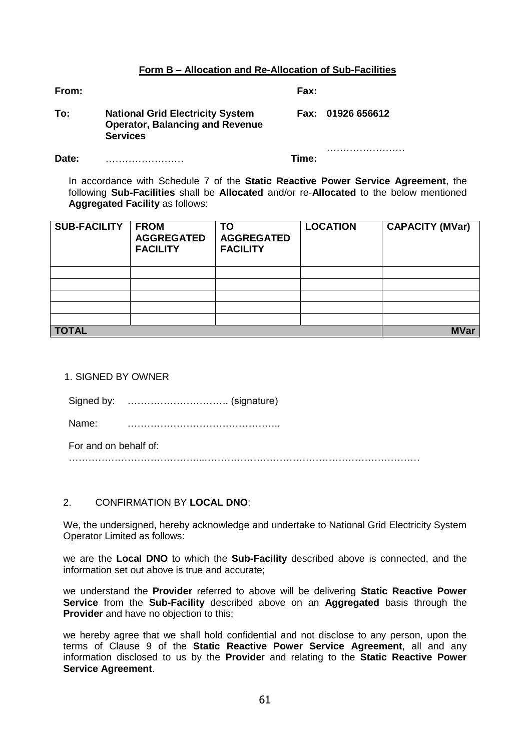#### **Form B – Allocation and Re-Allocation of Sub-Facilities**

**From: Fax:**

| To: | <b>National Grid Electricity System</b> | Fax: 01926 656612 |
|-----|-----------------------------------------|-------------------|
|     | <b>Operator, Balancing and Revenue</b>  |                   |
|     | <b>Services</b>                         |                   |

**Date:** …………………… **Time:**

……………………

In accordance with Schedule 7 of the **Static Reactive Power Service Agreement**, the following **Sub-Facilities** shall be **Allocated** and/or re-**Allocated** to the below mentioned **Aggregated Facility** as follows:

| <b>SUB-FACILITY</b> | <b>FROM</b><br><b>AGGREGATED</b><br><b>FACILITY</b> | <b>TO</b><br><b>AGGREGATED</b><br><b>FACILITY</b> | <b>LOCATION</b> | <b>CAPACITY (MVar)</b> |
|---------------------|-----------------------------------------------------|---------------------------------------------------|-----------------|------------------------|
|                     |                                                     |                                                   |                 |                        |
|                     |                                                     |                                                   |                 |                        |
|                     |                                                     |                                                   |                 |                        |
|                     |                                                     |                                                   |                 |                        |
|                     |                                                     |                                                   |                 |                        |
| <b>TOTAL</b>        |                                                     |                                                   |                 | <b>MVar</b>            |

1. SIGNED BY OWNER

| Signed by: |  |
|------------|--|
|------------|--|

Name: ………………………………………..

For and on behalf of:

…………………………………...…………………………………………………………

#### 2. CONFIRMATION BY **LOCAL DNO**:

We, the undersigned, hereby acknowledge and undertake to National Grid Electricity System Operator Limited as follows:

we are the **Local DNO** to which the **Sub-Facility** described above is connected, and the information set out above is true and accurate;

we understand the **Provider** referred to above will be delivering **Static Reactive Power Service** from the **Sub-Facility** described above on an **Aggregated** basis through the **Provider** and have no objection to this;

we hereby agree that we shall hold confidential and not disclose to any person, upon the terms of Clause 9 of the **Static Reactive Power Service Agreement**, all and any information disclosed to us by the **Provide**r and relating to the **Static Reactive Power Service Agreement**.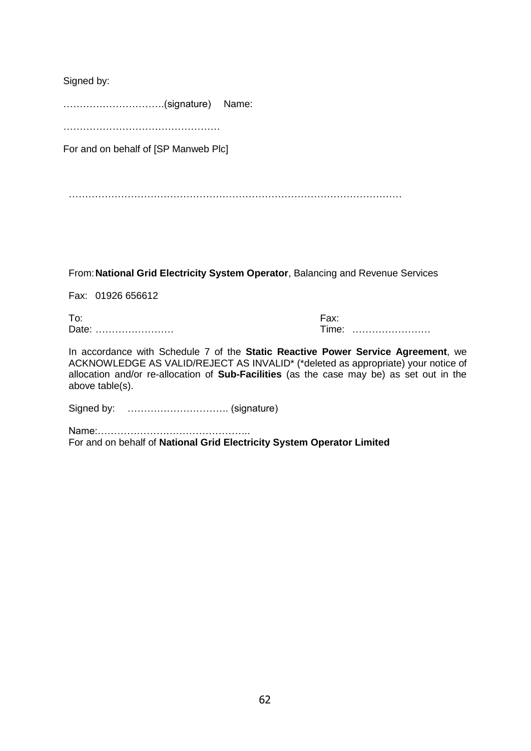Signed by:

………………………….(signature) Name:

………………………………………………

For and on behalf of [SP Manweb Plc]

…………………………………………………………………………………………

From:**National Grid Electricity System Operator**, Balancing and Revenue Services

Fax: 01926 656612

To: Fax: Date: …………………… Time: ……………………

In accordance with Schedule 7 of the **Static Reactive Power Service Agreement**, we ACKNOWLEDGE AS VALID/REJECT AS INVALID\* (\*deleted as appropriate) your notice of allocation and/or re-allocation of **Sub-Facilities** (as the case may be) as set out in the above table(s).

Signed by: …………………………. (signature)

Name:……………………………………….. For and on behalf of **National Grid Electricity System Operator Limited**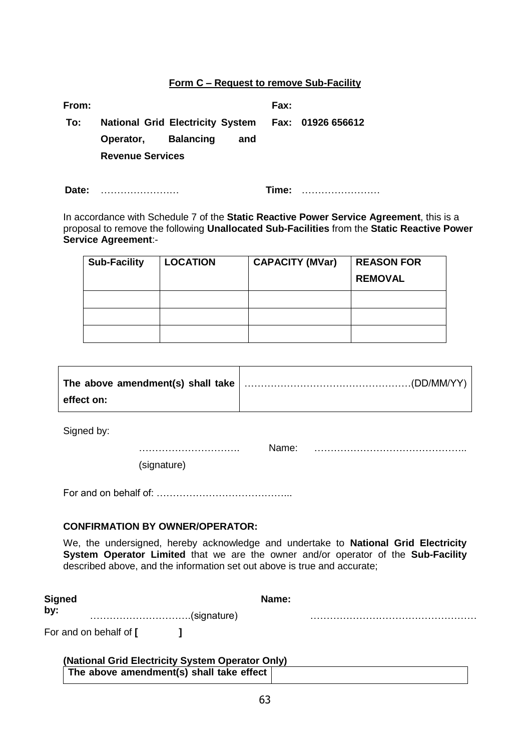#### **Form C – Request to remove Sub-Facility**

| From: |                         |     | Fax: |                                                    |
|-------|-------------------------|-----|------|----------------------------------------------------|
| To:   |                         |     |      | National Grid Electricity System Fax: 01926 656612 |
|       | Operator, Balancing     | and |      |                                                    |
|       | <b>Revenue Services</b> |     |      |                                                    |
|       |                         |     |      |                                                    |

**Date:** …………………… **Time:** ……………………

In accordance with Schedule 7 of the **Static Reactive Power Service Agreement**, this is a proposal to remove the following **Unallocated Sub-Facilities** from the **Static Reactive Power Service Agreement**:-

| <b>Sub-Facility</b> | <b>LOCATION</b> | <b>CAPACITY (MVar)</b> | <b>REASON FOR</b> |
|---------------------|-----------------|------------------------|-------------------|
|                     |                 |                        | <b>REMOVAL</b>    |
|                     |                 |                        |                   |
|                     |                 |                        |                   |
|                     |                 |                        |                   |

| effect on: |  |
|------------|--|

Signed by:

…………………………. Name: ………………………………………..

(signature)

For and on behalf of: …………………………………...

#### **CONFIRMATION BY OWNER/OPERATOR:**

We, the undersigned, hereby acknowledge and undertake to **National Grid Electricity System Operator Limited** that we are the owner and/or operator of the **Sub-Facility** described above, and the information set out above is true and accurate;

| Signed                 | Name: |  |  |
|------------------------|-------|--|--|
| by:<br>(signature)     |       |  |  |
| For and on behalf of [ |       |  |  |

| (National Grid Electricity System Operator Only) |  |  |
|--------------------------------------------------|--|--|
| The above amendment(s) shall take effect         |  |  |